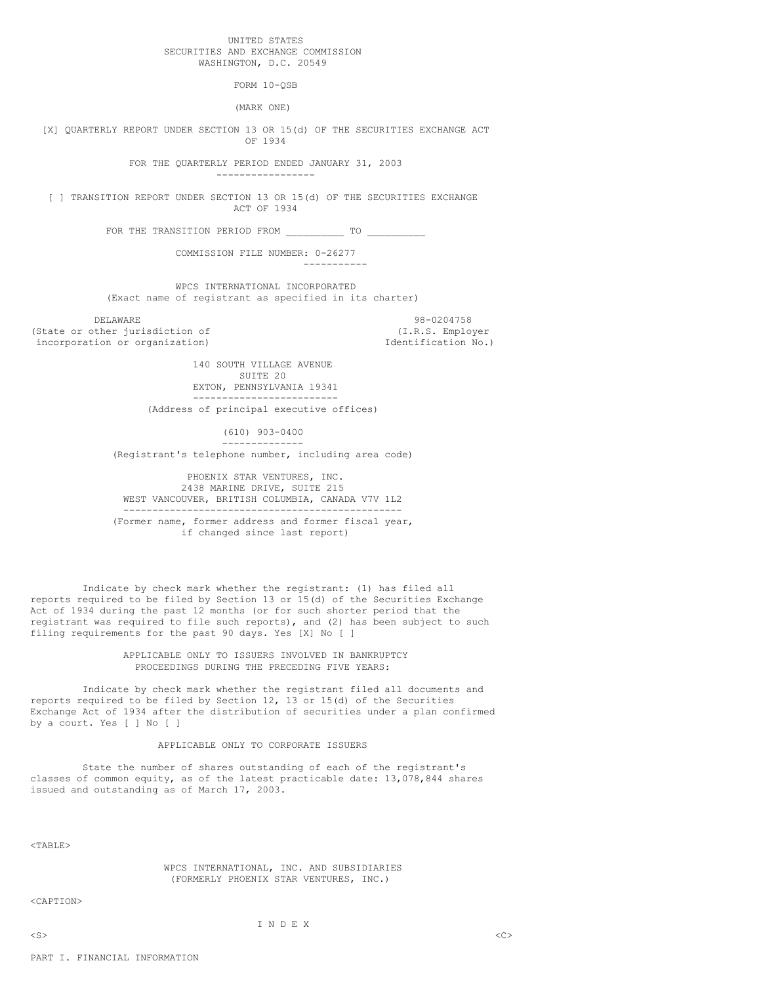## UNITED STATES SECURITIES AND EXCHANGE COMMISSION WASHINGTON, D.C. 20549

FORM 10-QSB

(MARK ONE)

[X] QUARTERLY REPORT UNDER SECTION 13 OR 15(d) OF THE SECURITIES EXCHANGE ACT OF 1934

> FOR THE QUARTERLY PERIOD ENDED JANUARY 31, 2003 -----------------

[ ] TRANSITION REPORT UNDER SECTION 13 OR 15(d) OF THE SECURITIES EXCHANGE ACT OF 1934

FOR THE TRANSITION PERIOD FROM \_\_\_\_\_\_\_\_\_\_ TO \_\_\_\_\_\_\_\_\_\_

COMMISSION FILE NUMBER: 0-26277

-----------

WPCS INTERNATIONAL INCORPORATED (Exact name of registrant as specified in its charter)

DELAWARE 98-0204758 (State or other jurisdiction of  $(1,R.S.$  Employer incorporation or organization)  $\qquad \qquad$  Identification No.) incorporation or organization)

140 SOUTH VILLAGE AVENUE SUITE 20 EXTON, PENNSYLVANIA 19341 -------------------------

(Address of principal executive offices)

(610) 903-0400 --------------

(Registrant's telephone number, including area code)

PHOENIX STAR VENTURES, INC. 2438 MARINE DRIVE, SUITE 215 WEST VANCOUVER, BRITISH COLUMBIA, CANADA V7V 1L2 ------------------------------------------------

(Former name, former address and former fiscal year, if changed since last report)

Indicate by check mark whether the registrant: (1) has filed all reports required to be filed by Section 13 or 15(d) of the Securities Exchange Act of 1934 during the past 12 months (or for such shorter period that the registrant was required to file such reports), and (2) has been subject to such filing requirements for the past 90 days. Yes [X] No [ ]

> APPLICABLE ONLY TO ISSUERS INVOLVED IN BANKRUPTCY PROCEEDINGS DURING THE PRECEDING FIVE YEARS:

Indicate by check mark whether the registrant filed all documents and reports required to be filed by Section 12, 13 or 15(d) of the Securities Exchange Act of 1934 after the distribution of securities under a plan confirmed by a court. Yes [ ] No [ ]

## APPLICABLE ONLY TO CORPORATE ISSUERS

State the number of shares outstanding of each of the registrant's classes of common equity, as of the latest practicable date: 13,078,844 shares issued and outstanding as of March 17, 2003.

<TABLE>

WPCS INTERNATIONAL, INC. AND SUBSIDIARIES (FORMERLY PHOENIX STAR VENTURES, INC.)

<CAPTION>

# I N D E X

<S> <C>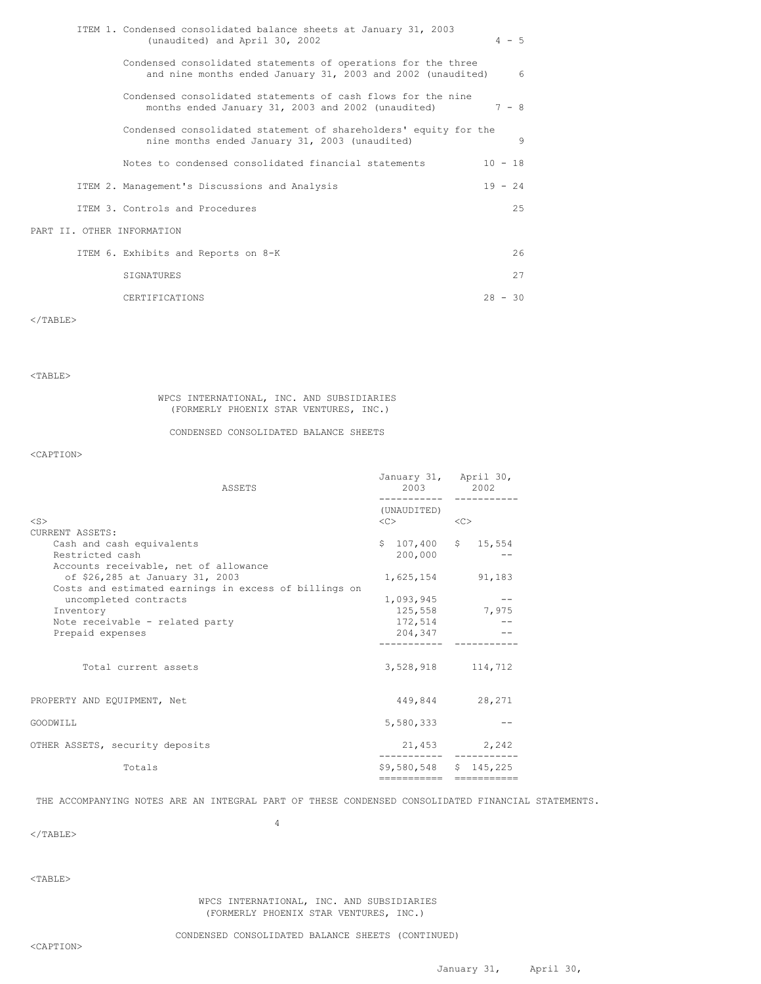|                            | ITEM 1. Condensed consolidated balance sheets at January 31, 2003<br>(unaudited) and April 30, 2002                          |           |         | $4 - 5$ |
|----------------------------|------------------------------------------------------------------------------------------------------------------------------|-----------|---------|---------|
|                            | Condensed consolidated statements of operations for the three<br>and nine months ended January 31, 2003 and 2002 (unaudited) |           |         | - 6     |
|                            | Condensed consolidated statements of cash flows for the nine<br>months ended January 31, 2003 and 2002 (unaudited)           |           | $7 - 8$ |         |
|                            | Condensed consolidated statement of shareholders' equity for the<br>nine months ended January 31, 2003 (unaudited)           |           |         | 9       |
|                            | Notes to condensed consolidated financial statements                                                                         | $10 - 18$ |         |         |
|                            | ITEM 2. Management's Discussions and Analysis                                                                                | $19 - 24$ |         |         |
|                            | TTEM 3. Controls and Procedures                                                                                              |           |         | 2.5     |
| PART II. OTHER INFORMATION |                                                                                                                              |           |         |         |
|                            | ITEM 6. Exhibits and Reports on 8-K                                                                                          |           |         | 26      |
|                            | <b>STGNATURES</b>                                                                                                            |           |         | 2.7     |
|                            | <b>CERTIFICATIONS</b>                                                                                                        | $28 -$    |         | -30     |

 $<$ /TABLE>

 $<$ TABLE>

WPCS INTERNATIONAL, INC. AND SUBSIDIARIES (FORMERLY PHOENIX STAR VENTURES, INC.)

CONDENSED CONSOLIDATED BALANCE SHEETS

## <CAPTION>

| ASSETS                                                                                   | January 31, April 30,<br>2003 2002                  |                   |
|------------------------------------------------------------------------------------------|-----------------------------------------------------|-------------------|
| $<$ S><br>CURRENT ASSETS:                                                                | (UNAUDITED)<br>$\langle C \rangle$                  | <<                |
| Cash and cash equivalents<br>Restricted cash<br>Accounts receivable, net of allowance    | $$107,400$ $$15,554$<br>200,000                     |                   |
| of \$26,285 at January 31, 2003<br>Costs and estimated earnings in excess of billings on | 1,625,154 91,183                                    |                   |
| uncompleted contracts<br>Inventory<br>Note receivable - related party                    | 1,093,945<br>172,514                                | 125,558 7,975     |
| Prepaid expenses                                                                         | 204,347                                             |                   |
| Total current assets                                                                     |                                                     | 3,528,918 114,712 |
| PROPERTY AND EQUIPMENT, Net                                                              |                                                     | 449,844 28,271    |
| GOODWILL                                                                                 | 5,580,333                                           |                   |
| OTHER ASSETS, security deposits                                                          |                                                     | 21,453 2,242      |
| Totals                                                                                   | \$9,580,548 \$ 145,225<br>------------------------- |                   |

4

THE ACCOMPANYING NOTES ARE AN INTEGRAL PART OF THESE CONDENSED CONSOLIDATED FINANCIAL STATEMENTS.

 $<$ /TABLE>

<TABLE>

WPCS INTERNATIONAL, INC. AND SUBSIDIARIES (FORMERLY PHOENIX STAR VENTURES, INC.)

CONDENSED CONSOLIDATED BALANCE SHEETS (CONTINUED)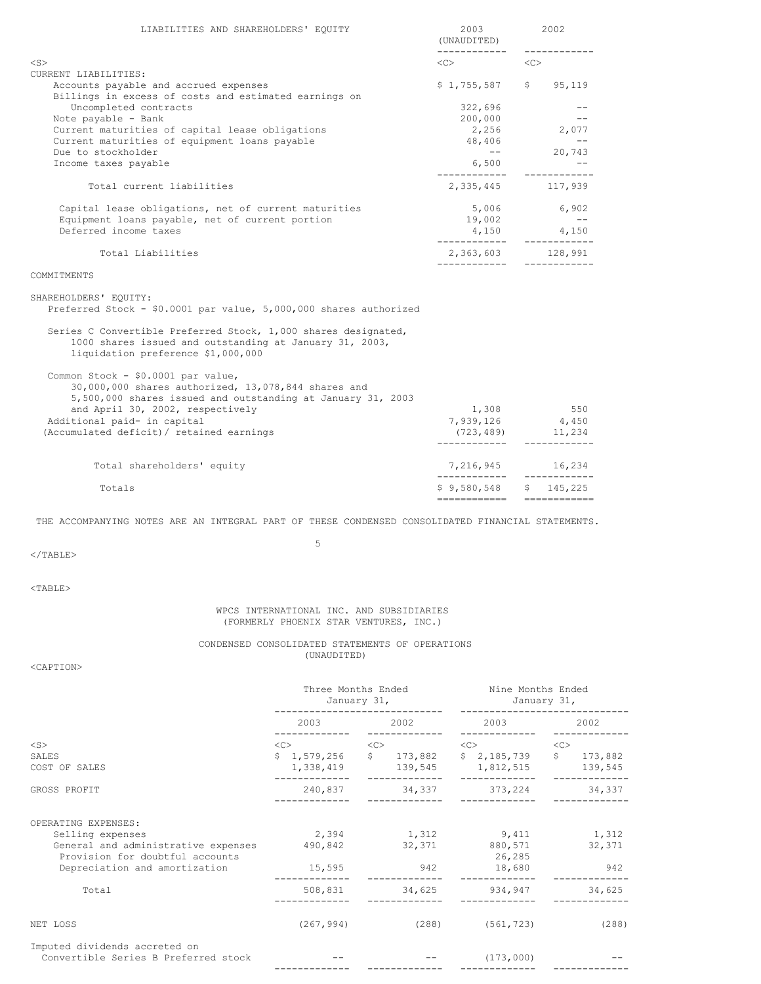| LIABILITIES AND SHAREHOLDERS' EQUITY                                                                                                                            | 2003<br>(UNAUDITED)    |                     | 2002        |
|-----------------------------------------------------------------------------------------------------------------------------------------------------------------|------------------------|---------------------|-------------|
| $<$ S>                                                                                                                                                          | $\langle C \rangle$    | $\langle C \rangle$ |             |
| CURRENT LIABILITIES:                                                                                                                                            |                        |                     |             |
| Accounts payable and accrued expenses                                                                                                                           | $$1,755,587$ $$95,119$ |                     |             |
| Billings in excess of costs and estimated earnings on                                                                                                           |                        |                     |             |
| Uncompleted contracts                                                                                                                                           | 322,696                |                     |             |
| Note payable - Bank                                                                                                                                             | 200,000                |                     |             |
| Current maturities of capital lease obligations                                                                                                                 | 2,256 2,077            |                     |             |
| Current maturities of equipment loans payable                                                                                                                   | 48,406                 |                     |             |
| Due to stockholder                                                                                                                                              |                        |                     | $-- 20,743$ |
| Income taxes payable                                                                                                                                            | 6,500                  |                     |             |
| Total current liabilities                                                                                                                                       | 2,335,445              |                     | 117,939     |
| Capital lease obligations, net of current maturities                                                                                                            | 5,006 6,902            |                     |             |
| Equipment loans payable, net of current portion                                                                                                                 | 19,002                 |                     |             |
| Deferred income taxes                                                                                                                                           |                        |                     | 4,150 4,150 |
| Total Liabilities                                                                                                                                               | 2,363,603 128,991      |                     |             |
| COMMITMENTS                                                                                                                                                     |                        |                     |             |
| SHAREHOLDERS' EQUITY:<br>Preferred Stock - \$0.0001 par value, 5,000,000 shares authorized                                                                      |                        |                     |             |
|                                                                                                                                                                 |                        |                     |             |
| Series C Convertible Preferred Stock, 1,000 shares designated,<br>1000 shares issued and outstanding at January 31, 2003,<br>liquidation preference \$1,000,000 |                        |                     |             |

| Common Stock - \$0.0001 par value,                          |             |         |
|-------------------------------------------------------------|-------------|---------|
| 30,000,000 shares authorized, 13,078,844 shares and         |             |         |
| 5,500,000 shares issued and outstanding at January 31, 2003 |             |         |
| and April 30, 2002, respectively                            | 1,308       | 550     |
| Additional paid- in capital                                 | 7,939,126   | 4,450   |
| (Accumulated deficit) / retained earnings                   | (723, 489)  | 11,234  |
|                                                             |             |         |
| Total shareholders' equity                                  | 7,216,945   | 16,234  |
| Totals                                                      | \$9,580,548 | 145,225 |
|                                                             |             |         |

THE ACCOMPANYING NOTES ARE AN INTEGRAL PART OF THESE CONDENSED CONSOLIDATED FINANCIAL STATEMENTS. 5

 $<$ /TABLE $>$ 

<TABLE>

# WPCS INTERNATIONAL INC. AND SUBSIDIARIES (FORMERLY PHOENIX STAR VENTURES, INC.)

# CONDENSED CONSOLIDATED STATEMENTS OF OPERATIONS (UNAUDITED)

<CAPTION>

|                                                                        |            | Three Months Ended<br>January 31, | Nine Months Ended<br>January 31,                                                       |           |  |  |
|------------------------------------------------------------------------|------------|-----------------------------------|----------------------------------------------------------------------------------------|-----------|--|--|
|                                                                        | 2003       | 2002                              |                                                                                        | 2002      |  |  |
| $<$ S $>$                                                              | <<>        | $<<$ $C>$                         | <<                                                                                     | < <c></c> |  |  |
| SALES<br>COST OF SALES                                                 |            |                                   | $$1,579,256$ $$173,882$ $$2,185,739$ $$173,882$<br>1,338,419 139,545 1,812,515 139,545 |           |  |  |
| GROSS PROFIT                                                           | 240,837    | 34,337                            | 373,224                                                                                | 34,337    |  |  |
| OPERATING EXPENSES:                                                    |            |                                   |                                                                                        |           |  |  |
| Selling expenses                                                       |            |                                   | 2,394 1,312 9,411 1,312                                                                |           |  |  |
| General and administrative expenses<br>Provision for doubtful accounts | 490,842    | 32,371                            | 880,571<br>26,285                                                                      | 32,371    |  |  |
| Depreciation and amortization                                          | 15,595     | 942                               | 18,680                                                                                 | 942       |  |  |
| Total                                                                  | 508,831    | 34,625                            | 934,947                                                                                | 34,625    |  |  |
| NET LOSS                                                               | (267, 994) | (288)                             | (561, 723)                                                                             | (288)     |  |  |
| Imputed dividends accreted on<br>Convertible Series B Preferred stock  |            |                                   | (173,000)                                                                              |           |  |  |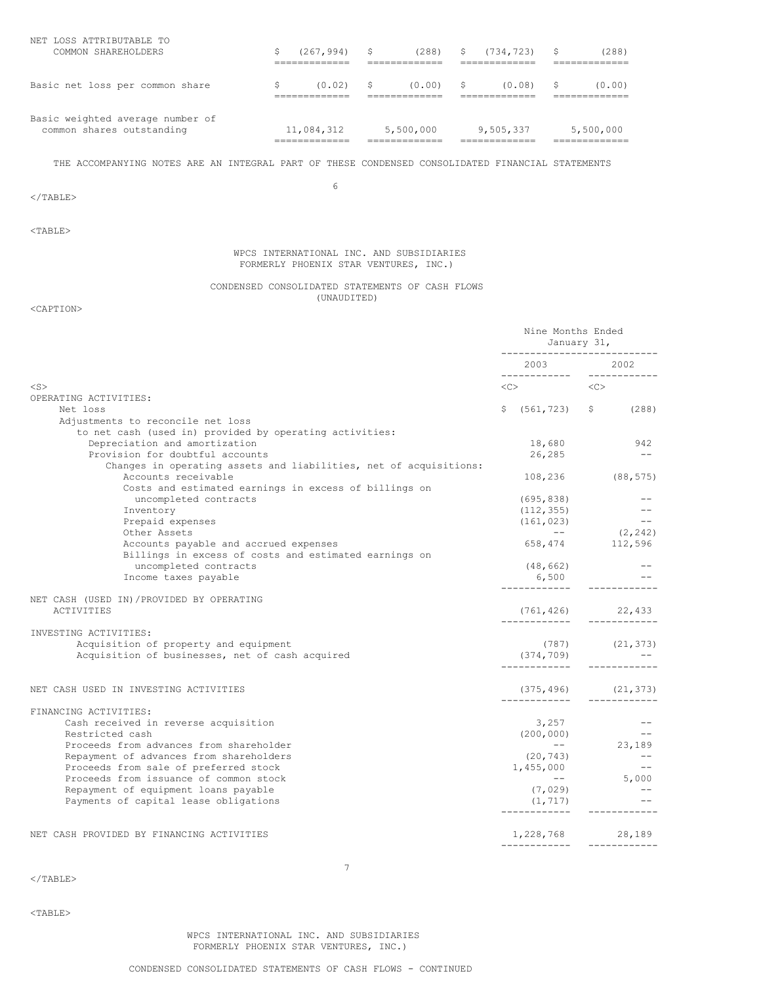| NET LOSS ATTRIBUTABLE TO<br>COMMON SHAREHOLDERS               | (267, 994)<br>____________ | S.   | (288)       | S. | (734, 723)            | S.   | (288)                |
|---------------------------------------------------------------|----------------------------|------|-------------|----|-----------------------|------|----------------------|
| Basic net loss per common share                               | (0.02)                     | - \$ | $(0.00)$ \$ |    | (0.08)                | - \$ | (0.00)               |
| Basic weighted average number of<br>common shares outstanding | 11,084,312<br>___________  |      | 5,500,000   |    | 9,505,337<br>________ |      | 5,500,000<br>_______ |

THE ACCOMPANYING NOTES ARE AN INTEGRAL PART OF THESE CONDENSED CONSOLIDATED FINANCIAL STATEMENTS

6

 $<$ /TABLE $>$ 

<TABLE>

WPCS INTERNATIONAL INC. AND SUBSIDIARIES FORMERLY PHOENIX STAR VENTURES, INC.)

# CONDENSED CONSOLIDATED STATEMENTS OF CASH FLOWS (UNAUDITED)

<CAPTION>

|                                                                   | Nine Months Ended<br>January 31,                             |  |                                       |
|-------------------------------------------------------------------|--------------------------------------------------------------|--|---------------------------------------|
|                                                                   | 2003 2002                                                    |  |                                       |
| $<$ S $>$                                                         | $\texttt{<<} \texttt{C}> \texttt{<<} \texttt{C}>$            |  |                                       |
| OPERATING ACTIVITIES:                                             |                                                              |  |                                       |
| Net loss                                                          | \$ (561, 723) \$ (288)                                       |  |                                       |
| Adjustments to reconcile net loss                                 |                                                              |  |                                       |
| to net cash (used in) provided by operating activities:           |                                                              |  |                                       |
| Depreciation and amortization                                     |                                                              |  | 18,680 942                            |
| Provision for doubtful accounts                                   | 26,285                                                       |  | $- -$                                 |
| Changes in operating assets and liabilities, net of acquisitions: |                                                              |  |                                       |
| Accounts receivable                                               |                                                              |  | 108,236 (88,575)                      |
| Costs and estimated earnings in excess of billings on             |                                                              |  |                                       |
| uncompleted contracts                                             | (695, 838)                                                   |  |                                       |
| Inventory                                                         | (112, 355)                                                   |  |                                       |
| Prepaid expenses                                                  | (161, 023)                                                   |  | $- -$                                 |
| Other Assets                                                      | $-$ (2, 242)<br>658, 474 112, 596                            |  |                                       |
| Accounts payable and accrued expenses                             |                                                              |  |                                       |
| Billings in excess of costs and estimated earnings on             |                                                              |  |                                       |
| uncompleted contracts                                             | (48, 662)                                                    |  |                                       |
| Income taxes payable                                              | 6,500                                                        |  |                                       |
|                                                                   |                                                              |  |                                       |
| NET CASH (USED IN) / PROVIDED BY OPERATING                        |                                                              |  |                                       |
| <b>ACTIVITIES</b>                                                 | $(761, 426)$ 22,433                                          |  |                                       |
|                                                                   |                                                              |  |                                       |
| INVESTING ACTIVITIES:                                             |                                                              |  |                                       |
| Acquisition of property and equipment                             |                                                              |  |                                       |
| Acquisition of businesses, net of cash acquired                   | (374, 709)                                                   |  | $(787)$ $(21, 373)$<br>$74, 709$      |
|                                                                   |                                                              |  |                                       |
|                                                                   |                                                              |  |                                       |
| NET CASH USED IN INVESTING ACTIVITIES                             | $(375, 496)$ $(21, 373)$<br>________________________________ |  |                                       |
| FINANCING ACTIVITIES:                                             |                                                              |  |                                       |
|                                                                   |                                                              |  |                                       |
| Cash received in reverse acquisition                              |                                                              |  | $3,257$ --<br>00,000) --<br>-- 23,189 |
| Restricted cash                                                   | (200, 000)                                                   |  |                                       |
| Proceeds from advances from shareholder                           |                                                              |  |                                       |
| Repayment of advances from shareholders                           | (20, 743)                                                    |  | $\sim$ $-$                            |
| Proceeds from sale of preferred stock                             | 1,455,000                                                    |  | $- -$                                 |
| Proceeds from issuance of common stock                            | <b>Service Contract Contract</b>                             |  | 5,000                                 |
| Repayment of equipment loans payable                              | (7, 029)                                                     |  |                                       |
| Payments of capital lease obligations                             | (1, 717)                                                     |  |                                       |
|                                                                   |                                                              |  |                                       |
| NET CASH PROVIDED BY FINANCING ACTIVITIES                         | 1,228,768 28,189                                             |  |                                       |
|                                                                   |                                                              |  |                                       |
|                                                                   |                                                              |  |                                       |

 $<$ /TABLE>

<TABLE>

## WPCS INTERNATIONAL INC. AND SUBSIDIARIES FORMERLY PHOENIX STAR VENTURES, INC.)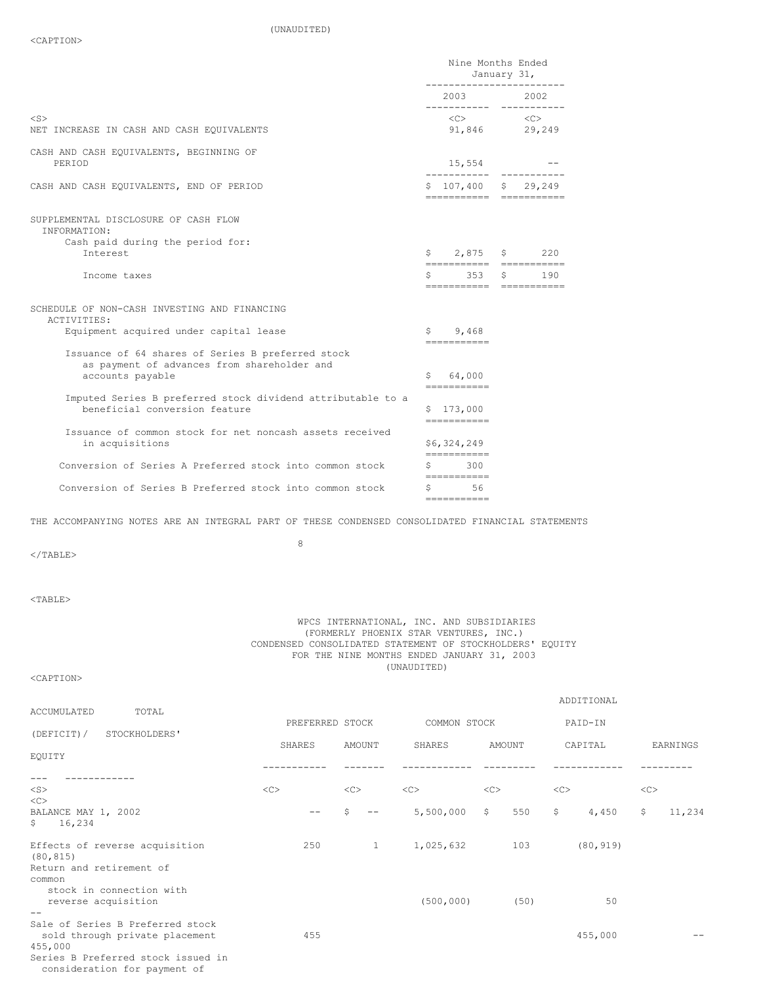|                                                                                                                      | Nine Months Ended<br>January 31, |                                                                                                   |              |                                    |
|----------------------------------------------------------------------------------------------------------------------|----------------------------------|---------------------------------------------------------------------------------------------------|--------------|------------------------------------|
|                                                                                                                      |                                  |                                                                                                   |              | 2002                               |
| $<$ S $>$<br>NET INCREASE IN CASH AND CASH EQUIVALENTS                                                               |                                  | ------------ -----------<br>${<}\mathbb{C}{>}$                                                    |              | $<\!\!\rm C\!\!>$<br>91,846 29,249 |
| CASH AND CASH EQUIVALENTS, BEGINNING OF<br>PERIOD                                                                    |                                  | 15,554                                                                                            |              |                                    |
| CASH AND CASH EQUIVALENTS, END OF PERIOD                                                                             |                                  | $$107,400$ $$29,249$<br>========================                                                  |              |                                    |
| SUPPLEMENTAL DISCLOSURE OF CASH FLOW<br>INFORMATION:<br>Cash paid during the period for:<br>Interest                 | \$                               | 2,875<br>========================                                                                 | $S$ .        | 220                                |
| Income taxes                                                                                                         | \$                               | 353                                                                                               | $\mathsf{S}$ | 190                                |
| SCHEDULE OF NON-CASH INVESTING AND FINANCING<br>ACTIVITIES:                                                          |                                  |                                                                                                   |              |                                    |
| Equipment acquired under capital lease                                                                               | S.                               | 9,468                                                                                             |              |                                    |
| Issuance of 64 shares of Series B preferred stock<br>as payment of advances from shareholder and<br>accounts payable |                                  | -----------<br>\$64,000<br>============                                                           |              |                                    |
| Imputed Series B preferred stock dividend attributable to a<br>beneficial conversion feature                         |                                  | \$173,000<br>-----------                                                                          |              |                                    |
| Issuance of common stock for net noncash assets received<br>in acquisitions                                          |                                  | \$6,324,249<br>===========                                                                        |              |                                    |
| Conversion of Series A Preferred stock into common stock                                                             | S                                | 300                                                                                               |              |                                    |
| Conversion of Series B Preferred stock into common stock                                                             | \$                               | $\begin{array}{cccccccccccccc} = & = & = & = & = & = & = & = & = & = & = & = & \end{array}$<br>56 |              |                                    |

THE ACCOMPANYING NOTES ARE AN INTEGRAL PART OF THESE CONDENSED CONSOLIDATED FINANCIAL STATEMENTS

8

 $<$ /TABLE>

 $<$ TABLE $>$ 

WPCS INTERNATIONAL, INC. AND SUBSIDIARIES (FORMERLY PHOENIX STAR VENTURES, INC.) CONDENSED CONSOLIDATED STATEMENT OF STOCKHOLDERS' EQUITY FOR THE NINE MONTHS ENDED JANUARY 31, 2003 (UNAUDITED)

===========

<CAPTION>

|                                                                               |    |                 |        |              |              |    |        |    | ADDITIONAL |    |          |
|-------------------------------------------------------------------------------|----|-----------------|--------|--------------|--------------|----|--------|----|------------|----|----------|
| TOTAL<br>ACCUMULATED                                                          |    | PREFERRED STOCK |        |              | COMMON STOCK |    |        |    | PAID-IN    |    |          |
| (DEFICIT)/<br>STOCKHOLDERS'                                                   |    | SHARES          | AMOUNT |              | SHARES       |    | AMOUNT |    | CAPITAL    |    | EARNINGS |
| EQUITY                                                                        |    |                 |        |              |              |    |        |    |            |    |          |
|                                                                               |    |                 |        |              |              |    |        |    |            |    |          |
| $<$ S $>$<br><<                                                               | << |                 | <<     |              | <<           | << |        | << |            | << |          |
| BALANCE MAY 1, 2002<br>16,234<br>$\mathsf{S}$                                 |    |                 | Ś      | $- -$        | 5,500,000    | \$ | 550    | \$ | 4,450      | \$ | 11,234   |
| Effects of reverse acquisition<br>(80, 815)                                   |    | 250             |        | $\mathbf{1}$ | 1,025,632    |    | 103    |    | (80, 919)  |    |          |
| Return and retirement of<br>common                                            |    |                 |        |              |              |    |        |    |            |    |          |
| stock in connection with<br>reverse acquisition                               |    |                 |        |              | (500, 000)   |    | (50)   |    | 50         |    |          |
| Sale of Series B Preferred stock<br>sold through private placement            |    | 455             |        |              |              |    |        |    | 455,000    |    |          |
| 455,000<br>Series B Preferred stock issued in<br>consideration for payment of |    |                 |        |              |              |    |        |    |            |    |          |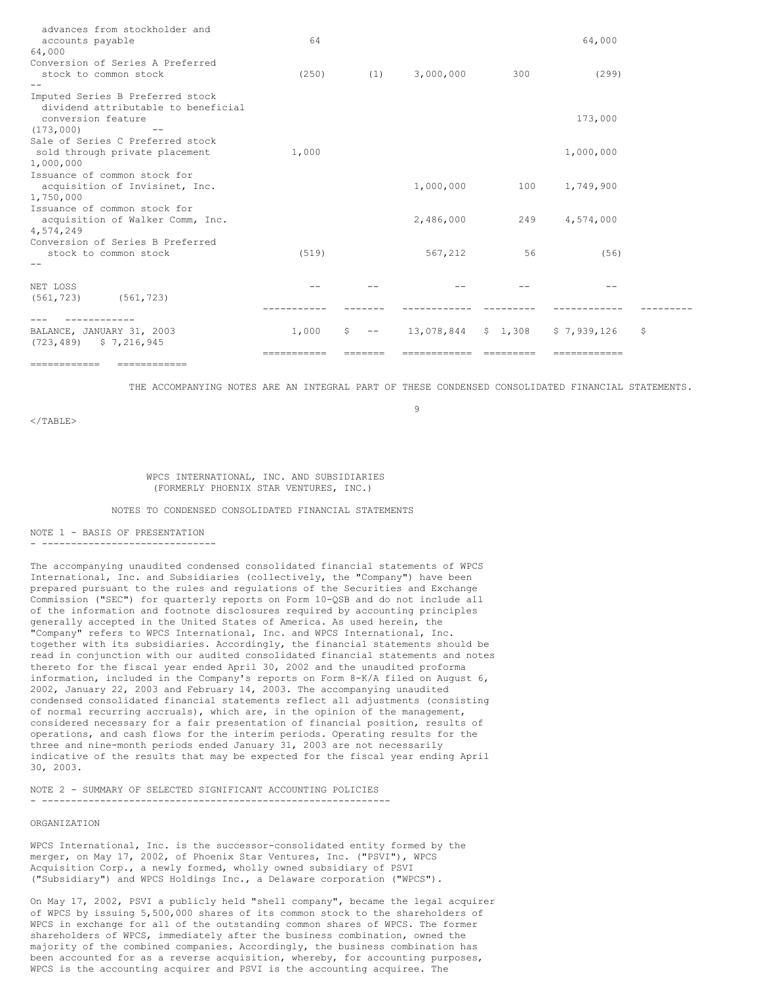| advances from stockholder and<br>accounts payable<br>64,000                                                | 64                 |                    |                     |     | 64,000                      |    |
|------------------------------------------------------------------------------------------------------------|--------------------|--------------------|---------------------|-----|-----------------------------|----|
| Conversion of Series A Preferred<br>stock to common stock                                                  | (250)              | (1)                | 3,000,000           | 300 | (299)                       |    |
| Imputed Series B Preferred stock<br>dividend attributable to beneficial<br>conversion feature<br>(173,000) |                    |                    |                     |     | 173,000                     |    |
| Sale of Series C Preferred stock<br>sold through private placement<br>1,000,000                            | 1,000              |                    |                     |     | 1,000,000                   |    |
| Issuance of common stock for<br>acquisition of Invisinet, Inc.<br>1,750,000                                |                    |                    | 1,000,000           | 100 | 1,749,900                   |    |
| Issuance of common stock for<br>acquisition of Walker Comm, Inc.<br>4,574,249                              |                    |                    | 2,486,000           | 249 | 4,574,000                   |    |
| Conversion of Series B Preferred<br>stock to common stock                                                  | (519)              |                    | 567,212             | 56  | (56)                        |    |
| NET LOSS<br>(561, 723)<br>(561, 723)                                                                       |                    |                    |                     |     |                             |    |
| BALANCE, JANUARY 31, 2003<br>(723, 489)<br>\$7,216,945                                                     | 1,000<br>========= | S.<br>$\sim$ $  -$ | 13,078,844 \$ 1,308 |     | \$7,939,126<br>============ | \$ |
| ============<br>============                                                                               |                    |                    |                     |     |                             |    |

THE ACCOMPANYING NOTES ARE AN INTEGRAL PART OF THESE CONDENSED CONSOLIDATED FINANCIAL STATEMENTS.

 $\alpha$ 

 $\langle$ /TABLE>

WPCS INTERNATIONAL, INC. AND SUBSIDIARIES (FORMERLY PHOENIX STAR VENTURES, INC.)

## NOTES TO CONDENSED CONSOLIDATED FINANCIAL STATEMENTS

#### NOTE 1 - BASIS OF PRESENTATION - ------------------------------

The accompanying unaudited condensed consolidated financial statements of WPCS International, Inc. and Subsidiaries (collectively, the "Company") have been prepared pursuant to the rules and regulations of the Securities and Exchange Commission ("SEC") for quarterly reports on Form 10-QSB and do not include all of the information and footnote disclosures required by accounting principles generally accepted in the United States of America. As used herein, the "Company" refers to WPCS International, Inc. and WPCS International, Inc. together with its subsidiaries. Accordingly, the financial statements should be read in conjunction with our audited consolidated financial statements and notes thereto for the fiscal year ended April 30, 2002 and the unaudited proforma information, included in the Company's reports on Form 8-K/A filed on August 6, 2002, January 22, 2003 and February 14, 2003. The accompanying unaudited condensed consolidated financial statements reflect all adjustments (consisting of normal recurring accruals), which are, in the opinion of the management, considered necessary for a fair presentation of financial position, results of operations, and cash flows for the interim periods. Operating results for the three and nine-month periods ended January 31, 2003 are not necessarily indicative of the results that may be expected for the fiscal year ending April 30, 2003.

NOTE 2 - SUMMARY OF SELECTED SIGNIFICANT ACCOUNTING POLICIES - ------------------------------------------------------------

## ORGANIZATION

WPCS International, Inc. is the successor-consolidated entity formed by the merger, on May 17, 2002, of Phoenix Star Ventures, Inc. ("PSVI"), WPCS Acquisition Corp., a newly formed, wholly owned subsidiary of PSVI ("Subsidiary") and WPCS Holdings Inc., a Delaware corporation ("WPCS").

On May 17, 2002, PSVI a publicly held "shell company", became the legal acquirer of WPCS by issuing 5,500,000 shares of its common stock to the shareholders of WPCS in exchange for all of the outstanding common shares of WPCS. The former shareholders of WPCS, immediately after the business combination, owned the majority of the combined companies. Accordingly, the business combination has been accounted for as a reverse acquisition, whereby, for accounting purposes, WPCS is the accounting acquirer and PSVI is the accounting acquiree. The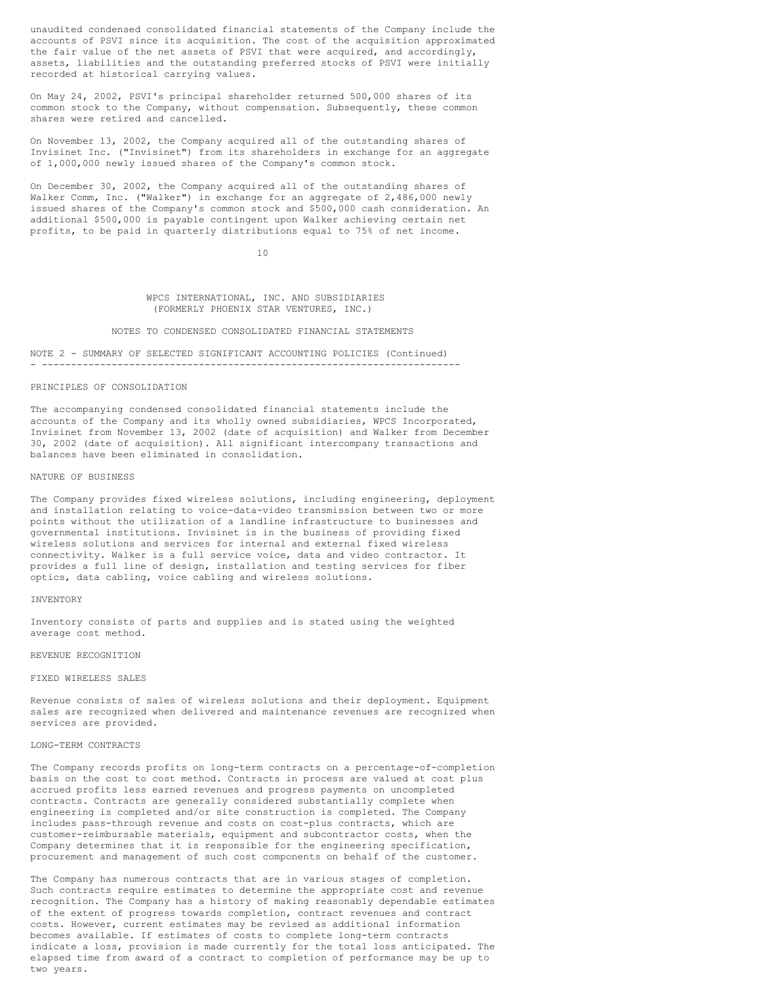unaudited condensed consolidated financial statements of the Company include the accounts of PSVI since its acquisition. The cost of the acquisition approximated the fair value of the net assets of PSVI that were acquired, and accordingly, assets, liabilities and the outstanding preferred stocks of PSVI were initially recorded at historical carrying values.

On May 24, 2002, PSVI's principal shareholder returned 500,000 shares of its common stock to the Company, without compensation. Subsequently, these common shares were retired and cancelled.

On November 13, 2002, the Company acquired all of the outstanding shares of Invisinet Inc. ("Invisinet") from its shareholders in exchange for an aggregate of 1,000,000 newly issued shares of the Company's common stock.

On December 30, 2002, the Company acquired all of the outstanding shares of Walker Comm, Inc. ("Walker") in exchange for an aggregate of 2,486,000 newly issued shares of the Company's common stock and \$500,000 cash consideration. An additional \$500,000 is payable contingent upon Walker achieving certain net profits, to be paid in quarterly distributions equal to 75% of net income.

10

WPCS INTERNATIONAL, INC. AND SUBSIDIARIES (FORMERLY PHOENIX STAR VENTURES, INC.)

NOTES TO CONDENSED CONSOLIDATED FINANCIAL STATEMENTS

NOTE 2 - SUMMARY OF SELECTED SIGNIFICANT ACCOUNTING POLICIES (Continued) - ------------------------------------------------------------------------

## PRINCIPLES OF CONSOLIDATION

The accompanying condensed consolidated financial statements include the accounts of the Company and its wholly owned subsidiaries, WPCS Incorporated, Invisinet from November 13, 2002 (date of acquisition) and Walker from December 30, 2002 (date of acquisition). All significant intercompany transactions and balances have been eliminated in consolidation.

# NATURE OF BUSINESS

The Company provides fixed wireless solutions, including engineering, deployment and installation relating to voice-data-video transmission between two or more points without the utilization of a landline infrastructure to businesses and governmental institutions. Invisinet is in the business of providing fixed wireless solutions and services for internal and external fixed wireless connectivity. Walker is a full service voice, data and video contractor. It provides a full line of design, installation and testing services for fiber optics, data cabling, voice cabling and wireless solutions.

## **INVENTORY**

Inventory consists of parts and supplies and is stated using the weighted average cost method.

## REVENUE RECOGNITION

## FIXED WIRELESS SALES

Revenue consists of sales of wireless solutions and their deployment. Equipment sales are recognized when delivered and maintenance revenues are recognized when services are provided.

# LONG-TERM CONTRACTS

The Company records profits on long-term contracts on a percentage-of-completion basis on the cost to cost method. Contracts in process are valued at cost plus accrued profits less earned revenues and progress payments on uncompleted contracts. Contracts are generally considered substantially complete when engineering is completed and/or site construction is completed. The Company includes pass-through revenue and costs on cost-plus contracts, which are customer-reimbursable materials, equipment and subcontractor costs, when the Company determines that it is responsible for the engineering specification, procurement and management of such cost components on behalf of the customer.

The Company has numerous contracts that are in various stages of completion. Such contracts require estimates to determine the appropriate cost and revenue recognition. The Company has a history of making reasonably dependable estimates of the extent of progress towards completion, contract revenues and contract costs. However, current estimates may be revised as additional information becomes available. If estimates of costs to complete long-term contracts indicate a loss, provision is made currently for the total loss anticipated. The elapsed time from award of a contract to completion of performance may be up to two years.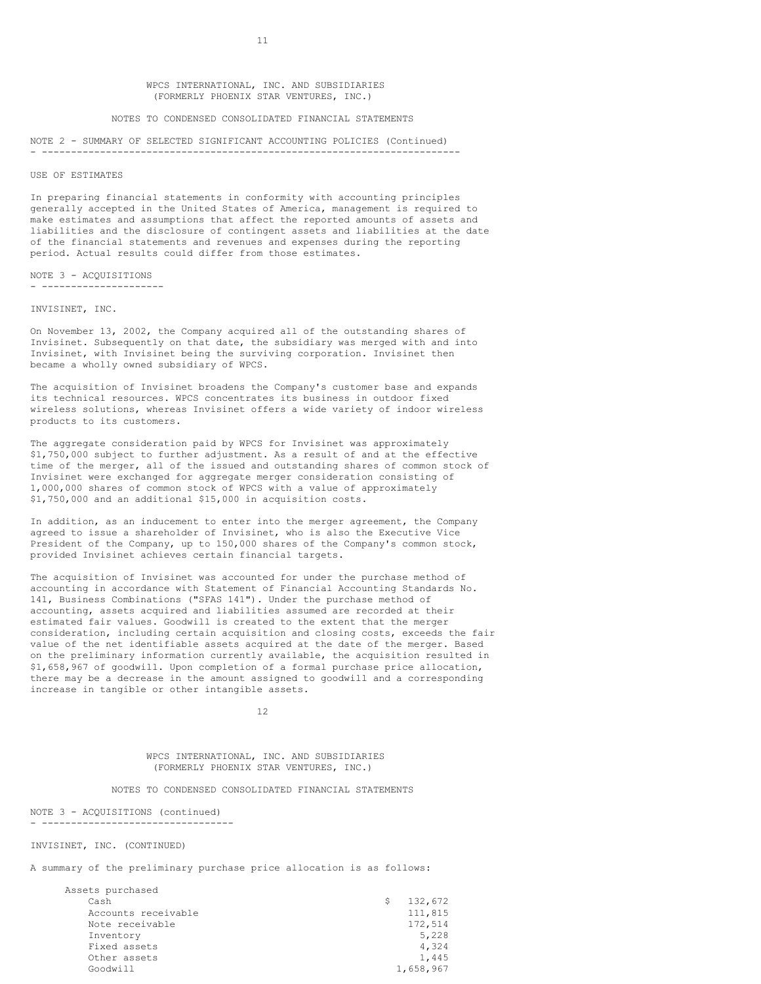## WPCS INTERNATIONAL, INC. AND SUBSIDIARIES (FORMERLY PHOENIX STAR VENTURES, INC.)

## NOTES TO CONDENSED CONSOLIDATED FINANCIAL STATEMENTS

NOTE 2 - SUMMARY OF SELECTED SIGNIFICANT ACCOUNTING POLICIES (Continued) - ------------------------------------------------------------------------

#### USE OF ESTIMATES

In preparing financial statements in conformity with accounting principles generally accepted in the United States of America, management is required to make estimates and assumptions that affect the reported amounts of assets and liabilities and the disclosure of contingent assets and liabilities at the date of the financial statements and revenues and expenses during the reporting period. Actual results could differ from those estimates.

NOTE 3 - ACQUISITIONS - ---------------------

## INVISINET, INC.

On November 13, 2002, the Company acquired all of the outstanding shares of Invisinet. Subsequently on that date, the subsidiary was merged with and into Invisinet, with Invisinet being the surviving corporation. Invisinet then became a wholly owned subsidiary of WPCS.

The acquisition of Invisinet broadens the Company's customer base and expands its technical resources. WPCS concentrates its business in outdoor fixed wireless solutions, whereas Invisinet offers a wide variety of indoor wireless products to its customers.

The aggregate consideration paid by WPCS for Invisinet was approximately \$1,750,000 subject to further adjustment. As a result of and at the effective time of the merger, all of the issued and outstanding shares of common stock of Invisinet were exchanged for aggregate merger consideration consisting of 1,000,000 shares of common stock of WPCS with a value of approximately \$1,750,000 and an additional \$15,000 in acquisition costs.

In addition, as an inducement to enter into the merger agreement, the Company agreed to issue a shareholder of Invisinet, who is also the Executive Vice President of the Company, up to 150,000 shares of the Company's common stock, provided Invisinet achieves certain financial targets.

The acquisition of Invisinet was accounted for under the purchase method of accounting in accordance with Statement of Financial Accounting Standards No. 141, Business Combinations ("SFAS 141"). Under the purchase method of accounting, assets acquired and liabilities assumed are recorded at their estimated fair values. Goodwill is created to the extent that the merger consideration, including certain acquisition and closing costs, exceeds the fair value of the net identifiable assets acquired at the date of the merger. Based on the preliminary information currently available, the acquisition resulted in \$1,658,967 of goodwill. Upon completion of a formal purchase price allocation, there may be a decrease in the amount assigned to goodwill and a corresponding increase in tangible or other intangible assets.

12

WPCS INTERNATIONAL, INC. AND SUBSIDIARIES (FORMERLY PHOENIX STAR VENTURES, INC.)

## NOTES TO CONDENSED CONSOLIDATED FINANCIAL STATEMENTS

NOTE 3 - ACQUISITIONS (continued) - ---------------------------------

## INVISINET, INC. (CONTINUED)

A summary of the preliminary purchase price allocation is as follows:

| Assets purchased    |   |           |
|---------------------|---|-----------|
| Cash                | S | 132,672   |
| Accounts receivable |   | 111,815   |
| Note receivable     |   | 172,514   |
| Inventory           |   | 5,228     |
| Fixed assets        |   | 4.324     |
| Other assets        |   | 1,445     |
| Goodwill            |   | 1,658,967 |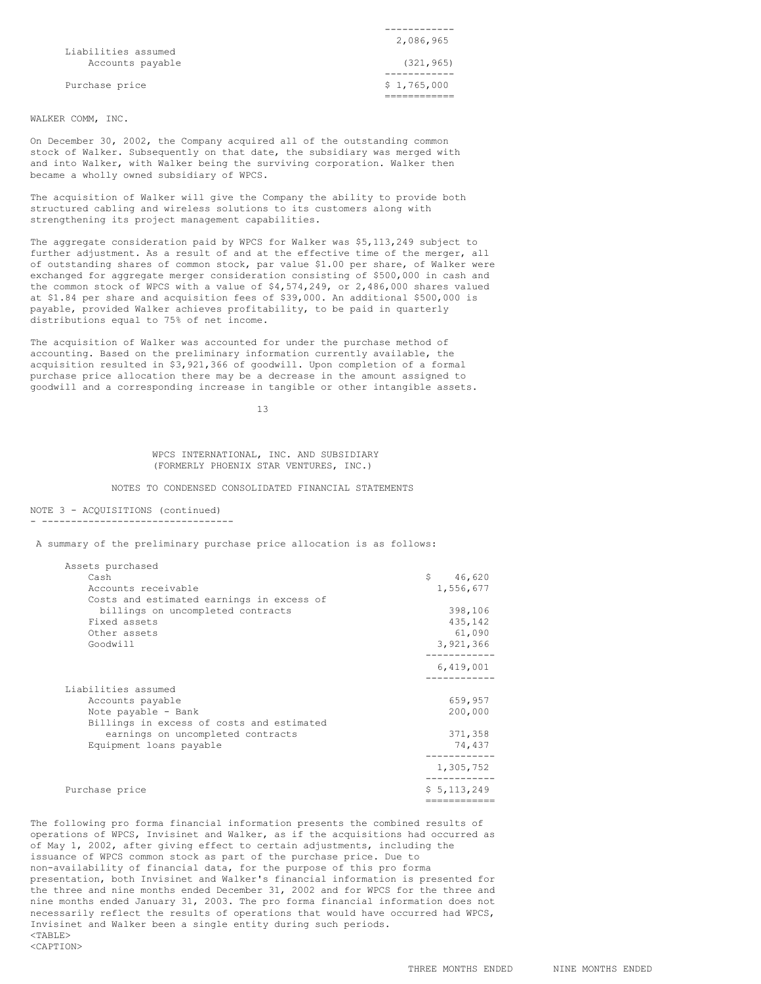|                     | 2,086,965   |
|---------------------|-------------|
| Liabilities assumed |             |
|                     |             |
| Accounts payable    | (321, 965)  |
|                     |             |
| Purchase price      | \$1,765,000 |
|                     |             |

### WALKER COMM, INC.

On December 30, 2002, the Company acquired all of the outstanding common stock of Walker. Subsequently on that date, the subsidiary was merged with and into Walker, with Walker being the surviving corporation. Walker then became a wholly owned subsidiary of WPCS.

The acquisition of Walker will give the Company the ability to provide both structured cabling and wireless solutions to its customers along with strengthening its project management capabilities.

The aggregate consideration paid by WPCS for Walker was \$5,113,249 subject to further adjustment. As a result of and at the effective time of the merger, all of outstanding shares of common stock, par value \$1.00 per share, of Walker were exchanged for aggregate merger consideration consisting of \$500,000 in cash and the common stock of WPCS with a value of \$4,574,249, or 2,486,000 shares valued at \$1.84 per share and acquisition fees of \$39,000. An additional \$500,000 is payable, provided Walker achieves profitability, to be paid in quarterly distributions equal to 75% of net income.

The acquisition of Walker was accounted for under the purchase method of accounting. Based on the preliminary information currently available, the acquisition resulted in \$3,921,366 of goodwill. Upon completion of a formal purchase price allocation there may be a decrease in the amount assigned to goodwill and a corresponding increase in tangible or other intangible assets.

13

WPCS INTERNATIONAL, INC. AND SUBSIDIARY (FORMERLY PHOENIX STAR VENTURES, INC.)

NOTES TO CONDENSED CONSOLIDATED FINANCIAL STATEMENTS

# NOTE 3 - ACQUISITIONS (continued) - ---------------------------------

Assets purchased

A summary of the preliminary purchase price allocation is as follows:

| noocto purchaseu<br>Cash                                                                                                   | \$<br>46,620                              |
|----------------------------------------------------------------------------------------------------------------------------|-------------------------------------------|
|                                                                                                                            |                                           |
| Accounts receivable                                                                                                        | 1,556,677                                 |
| Costs and estimated earnings in excess of<br>billings on uncompleted contracts<br>Fixed assets<br>Other assets<br>Goodwill | 398,106<br>435,142<br>61,090<br>3,921,366 |
|                                                                                                                            | 6,419,001                                 |
| Liabilities assumed                                                                                                        |                                           |
| Accounts payable                                                                                                           | 659,957                                   |
| Note payable - Bank                                                                                                        | 200,000                                   |
| Billings in excess of costs and estimated                                                                                  |                                           |
| earnings on uncompleted contracts                                                                                          | 371,358                                   |
| Equipment loans payable                                                                                                    | 74,437                                    |
|                                                                                                                            | 1,305,752                                 |
| Purchase price                                                                                                             | \$5,113,249                               |
|                                                                                                                            | -----------                               |

The following pro forma financial information presents the combined results of operations of WPCS, Invisinet and Walker, as if the acquisitions had occurred as of May 1, 2002, after giving effect to certain adjustments, including the issuance of WPCS common stock as part of the purchase price. Due to non-availability of financial data, for the purpose of this pro forma presentation, both Invisinet and Walker's financial information is presented for the three and nine months ended December 31, 2002 and for WPCS for the three and nine months ended January 31, 2003. The pro forma financial information does not necessarily reflect the results of operations that would have occurred had WPCS, Invisinet and Walker been a single entity during such periods.  $<$ TABLE> <CAPTION>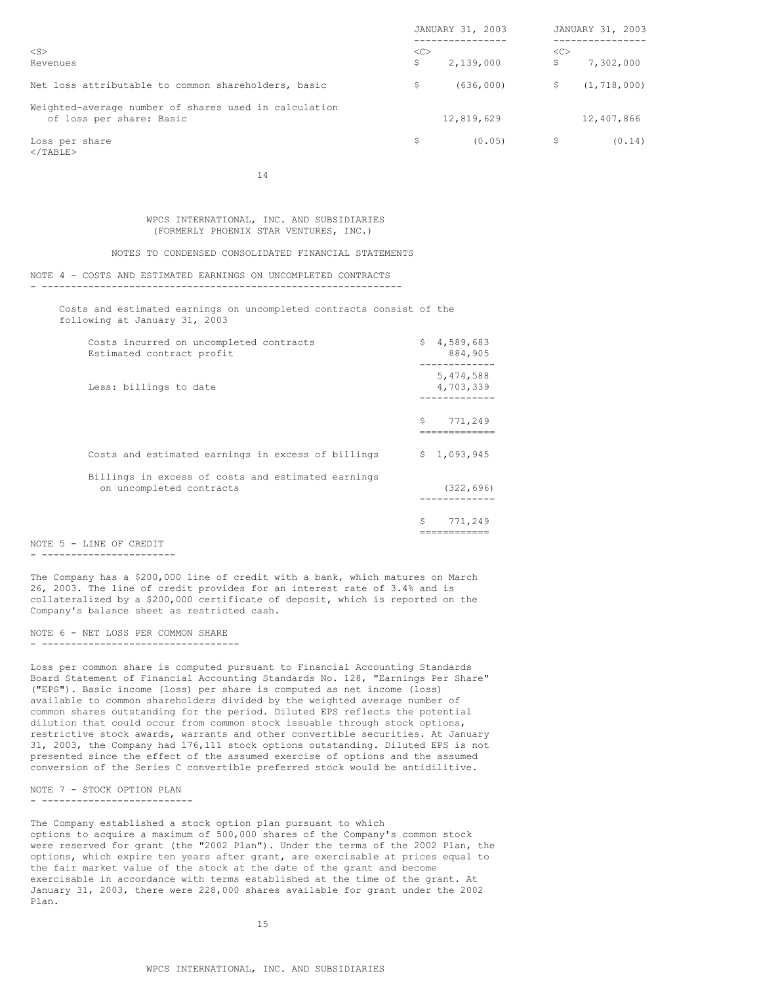|                                                                                   | JANUARY 31, 2003 |            |               | JANUARY 31, 2003 |  |  |
|-----------------------------------------------------------------------------------|------------------|------------|---------------|------------------|--|--|
| $<$ S>                                                                            | < <sub></sub>    |            | < <sub></sub> |                  |  |  |
| Revenues                                                                          | \$               | 2,139,000  | \$            | 7,302,000        |  |  |
| Net loss attributable to common shareholders, basic                               | S                | (636,000)  | S.            | (1, 718, 000)    |  |  |
| Weighted-average number of shares used in calculation<br>of loss per share: Basic |                  | 12,819,629 |               | 12,407,866       |  |  |
| Loss per share<br>$\langle$ /TARLE $\rangle$                                      | S                | (0.05)     | -Ş            | (0.14)           |  |  |

14

# WPCS INTERNATIONAL, INC. AND SUBSIDIARIES (FORMERLY PHOENIX STAR VENTURES, INC.)

# NOTES TO CONDENSED CONSOLIDATED FINANCIAL STATEMENTS

NOTE 4 - COSTS AND ESTIMATED EARNINGS ON UNCOMPLETED CONTRACTS - --------------------------------------------------------------

Costs and estimated earnings on uncompleted contracts consist of the following at January 31, 2003

| Costs incurred on uncompleted contracts<br>Estimated contract profit           | Ŝ. | 4,589,683<br>884,905   |
|--------------------------------------------------------------------------------|----|------------------------|
| Less: billings to date                                                         |    | 5,474,588<br>4,703,339 |
|                                                                                | Ŝ  | 771,249                |
| Costs and estimated earnings in excess of billings                             |    | \$1,093,945            |
| Billings in excess of costs and estimated earnings<br>on uncompleted contracts |    | (322, 696)             |
|                                                                                | \$ | 771,249                |

============

NOTE 5 - LINE OF CREDIT - -----------------------

The Company has a \$200,000 line of credit with a bank, which matures on March 26, 2003. The line of credit provides for an interest rate of 3.4% and is collateralized by a \$200,000 certificate of deposit, which is reported on the Company's balance sheet as restricted cash.

#### NOTE 6 - NET LOSS PER COMMON SHARE - ----------------------------------

Loss per common share is computed pursuant to Financial Accounting Standards Board Statement of Financial Accounting Standards No. 128, "Earnings Per Share" ("EPS"). Basic income (loss) per share is computed as net income (loss) available to common shareholders divided by the weighted average number of common shares outstanding for the period. Diluted EPS reflects the potential dilution that could occur from common stock issuable through stock options, restrictive stock awards, warrants and other convertible securities. At January 31, 2003, the Company had 176,111 stock options outstanding. Diluted EPS is not presented since the effect of the assumed exercise of options and the assumed conversion of the Series C convertible preferred stock would be antidilitive.

NOTE 7 - STOCK OPTION PLAN - --------------------------

The Company established a stock option plan pursuant to which options to acquire a maximum of 500,000 shares of the Company's common stock were reserved for grant (the "2002 Plan"). Under the terms of the 2002 Plan, the options, which expire ten years after grant, are exercisable at prices equal to the fair market value of the stock at the date of the grant and become exercisable in accordance with terms established at the time of the grant. At January 31, 2003, there were 228,000 shares available for grant under the 2002 Plan.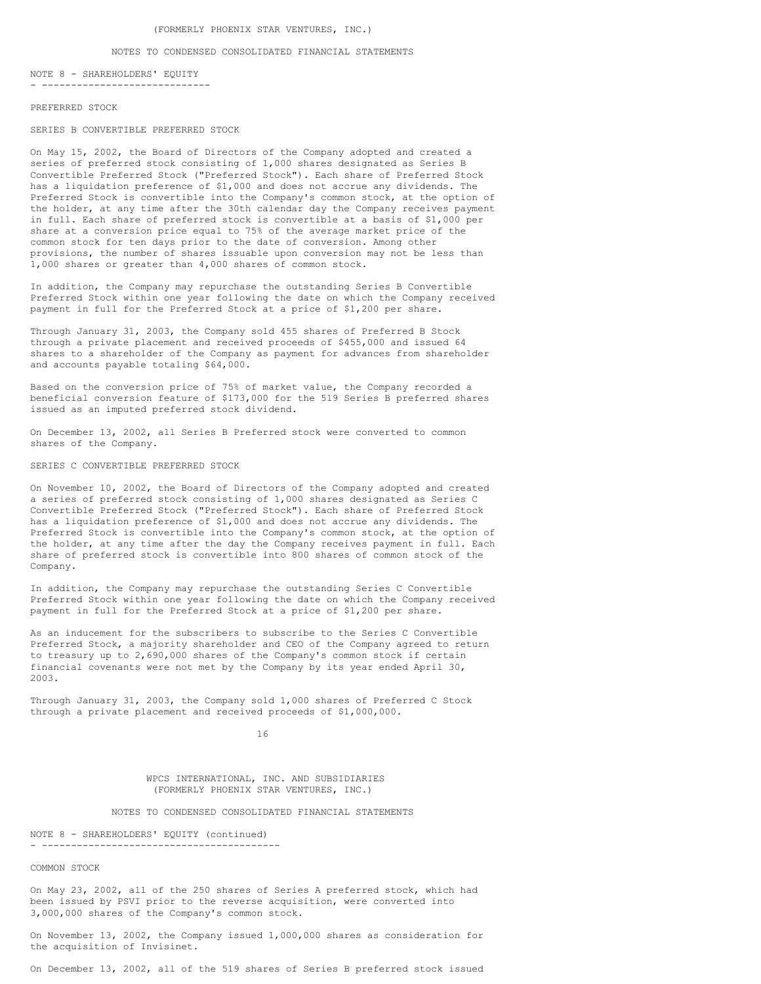#### NOTES TO CONDENSED CONSOLIDATED FINANCIAL STATEMENTS

NOTE 8 - SHAREHOLDERS' EQUITY - -----------------------------

#### PREFERRED STOCK

#### SERIES B CONVERTIBLE PREFERRED STOCK

On May 15, 2002, the Board of Directors of the Company adopted and created a series of preferred stock consisting of 1,000 shares designated as Series B Convertible Preferred Stock ("Preferred Stock"). Each share of Preferred Stock has a liquidation preference of \$1,000 and does not accrue any dividends. The Preferred Stock is convertible into the Company's common stock, at the option of the holder, at any time after the 30th calendar day the Company receives payment in full. Each share of preferred stock is convertible at a basis of \$1,000 per share at a conversion price equal to 75% of the average market price of the common stock for ten days prior to the date of conversion. Among other provisions, the number of shares issuable upon conversion may not be less than 1,000 shares or greater than 4,000 shares of common stock.

In addition, the Company may repurchase the outstanding Series B Convertible Preferred Stock within one year following the date on which the Company received payment in full for the Preferred Stock at a price of \$1,200 per share.

Through January 31, 2003, the Company sold 455 shares of Preferred B Stock through a private placement and received proceeds of \$455,000 and issued 64 shares to a shareholder of the Company as payment for advances from shareholder and accounts payable totaling \$64,000.

Based on the conversion price of 75% of market value, the Company recorded a beneficial conversion feature of \$173,000 for the 519 Series B preferred shares issued as an imputed preferred stock dividend.

On December 13, 2002, all Series B Preferred stock were converted to common shares of the Company.

## SERIES C CONVERTIBLE PREFERRED STOCK

On November 10, 2002, the Board of Directors of the Company adopted and created a series of preferred stock consisting of 1,000 shares designated as Series C Convertible Preferred Stock ("Preferred Stock"). Each share of Preferred Stock has a liquidation preference of \$1,000 and does not accrue any dividends. The Preferred Stock is convertible into the Company's common stock, at the option of the holder, at any time after the day the Company receives payment in full. Each share of preferred stock is convertible into 800 shares of common stock of the Company.

In addition, the Company may repurchase the outstanding Series C Convertible Preferred Stock within one year following the date on which the Company received payment in full for the Preferred Stock at a price of \$1,200 per share.

As an inducement for the subscribers to subscribe to the Series C Convertible Preferred Stock, a majority shareholder and CEO of the Company agreed to return to treasury up to 2,690,000 shares of the Company's common stock if certain financial covenants were not met by the Company by its year ended April 30, 2003.

Through January 31, 2003, the Company sold 1,000 shares of Preferred C Stock through a private placement and received proceeds of \$1,000,000.

16

WPCS INTERNATIONAL, INC. AND SUBSIDIARIES (FORMERLY PHOENIX STAR VENTURES, INC.)

### NOTES TO CONDENSED CONSOLIDATED FINANCIAL STATEMENTS

NOTE 8 - SHAREHOLDERS' EQUITY (continued) - -----------------------------------------

COMMON STOCK

On May 23, 2002, all of the 250 shares of Series A preferred stock, which had been issued by PSVI prior to the reverse acquisition, were converted into 3,000,000 shares of the Company's common stock.

On November 13, 2002, the Company issued 1,000,000 shares as consideration for the acquisition of Invisinet.

On December 13, 2002, all of the 519 shares of Series B preferred stock issued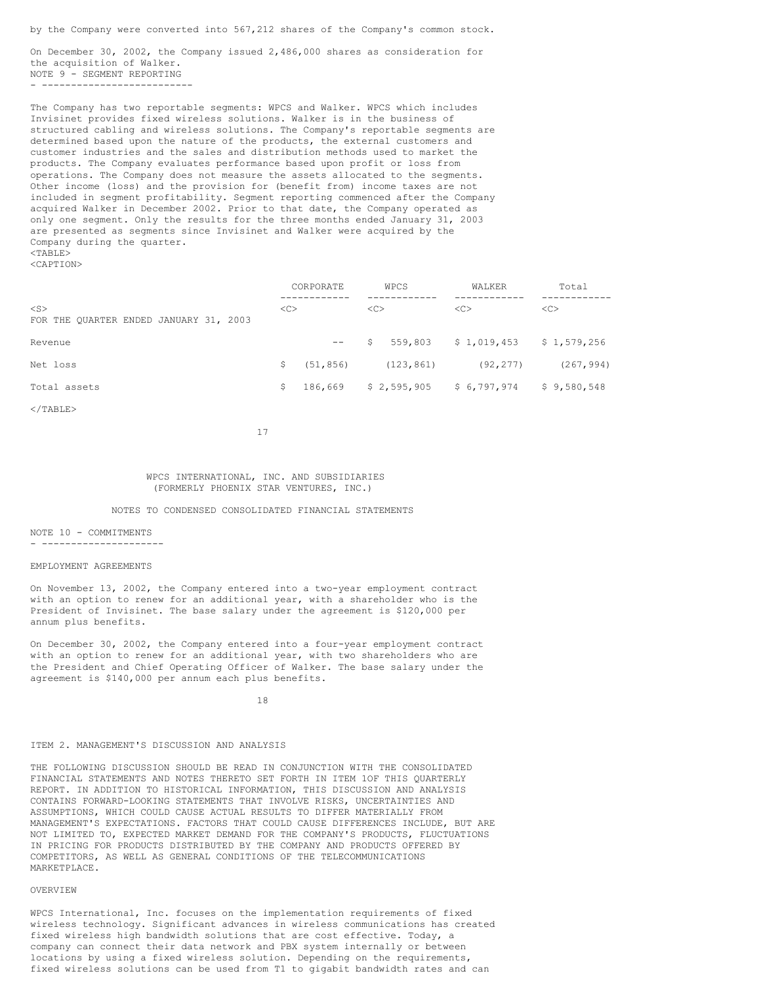by the Company were converted into 567,212 shares of the Company's common stock.

On December 30, 2002, the Company issued 2,486,000 shares as consideration for the acquisition of Walker. NOTE 9 - SEGMENT REPORTING - --------------------------

The Company has two reportable segments: WPCS and Walker. WPCS which includes Invisinet provides fixed wireless solutions. Walker is in the business of structured cabling and wireless solutions. The Company's reportable segments are determined based upon the nature of the products, the external customers and customer industries and the sales and distribution methods used to market the products. The Company evaluates performance based upon profit or loss from operations. The Company does not measure the assets allocated to the segments. Other income (loss) and the provision for (benefit from) income taxes are not included in segment profitability. Segment reporting commenced after the Company acquired Walker in December 2002. Prior to that date, the Company operated as only one segment. Only the results for the three months ended January 31, 2003 are presented as segments since Invisinet and Walker were acquired by the Company during the quarter.

 $<$ TABLE> <CAPTION>

|                                                     | CORPORATE |           | WPCS |             | WALKER                    |           | Total |             |
|-----------------------------------------------------|-----------|-----------|------|-------------|---------------------------|-----------|-------|-------------|
| $<$ S $>$<br>FOR THE QUARTER ENDED JANUARY 31, 2003 |           | <<        | <<   |             | <<                        |           | <<    |             |
| Revenue                                             |           | $- -$     | \$   | 559,803     | $$1,019,453$ $$1,579,256$ |           |       |             |
| Net loss                                            | \$        | (51, 856) |      | (123, 861)  |                           | (92, 277) |       | (267, 994)  |
| Total assets                                        | S         | 186,669   |      | \$2,595,905 | \$6,797,974               |           |       | \$9,580,548 |
| $\langle$ /TABLE>                                   |           |           |      |             |                           |           |       |             |

17

## WPCS INTERNATIONAL, INC. AND SUBSIDIARIES (FORMERLY PHOENIX STAR VENTURES, INC.)

#### NOTES TO CONDENSED CONSOLIDATED FINANCIAL STATEMENTS

#### NOTE 10 - COMMITMENTS - ---------------------

# EMPLOYMENT AGREEMENTS

On November 13, 2002, the Company entered into a two-year employment contract with an option to renew for an additional year, with a shareholder who is the President of Invisinet. The base salary under the agreement is \$120,000 per annum plus benefits.

On December 30, 2002, the Company entered into a four-year employment contract with an option to renew for an additional year, with two shareholders who are the President and Chief Operating Officer of Walker. The base salary under the agreement is \$140,000 per annum each plus benefits.

18

# ITEM 2. MANAGEMENT'S DISCUSSION AND ANALYSIS

THE FOLLOWING DISCUSSION SHOULD BE READ IN CONJUNCTION WITH THE CONSOLIDATED FINANCIAL STATEMENTS AND NOTES THERETO SET FORTH IN ITEM 1OF THIS QUARTERLY REPORT. IN ADDITION TO HISTORICAL INFORMATION, THIS DISCUSSION AND ANALYSIS CONTAINS FORWARD-LOOKING STATEMENTS THAT INVOLVE RISKS, UNCERTAINTIES AND ASSUMPTIONS, WHICH COULD CAUSE ACTUAL RESULTS TO DIFFER MATERIALLY FROM MANAGEMENT'S EXPECTATIONS. FACTORS THAT COULD CAUSE DIFFERENCES INCLUDE, BUT ARE NOT LIMITED TO, EXPECTED MARKET DEMAND FOR THE COMPANY'S PRODUCTS, FLUCTUATIONS IN PRICING FOR PRODUCTS DISTRIBUTED BY THE COMPANY AND PRODUCTS OFFERED BY COMPETITORS, AS WELL AS GENERAL CONDITIONS OF THE TELECOMMUNICATIONS MARKETPLACE.

#### OVERVIEW

WPCS International, Inc. focuses on the implementation requirements of fixed wireless technology. Significant advances in wireless communications has created fixed wireless high bandwidth solutions that are cost effective. Today, a company can connect their data network and PBX system internally or between locations by using a fixed wireless solution. Depending on the requirements, fixed wireless solutions can be used from T1 to gigabit bandwidth rates and can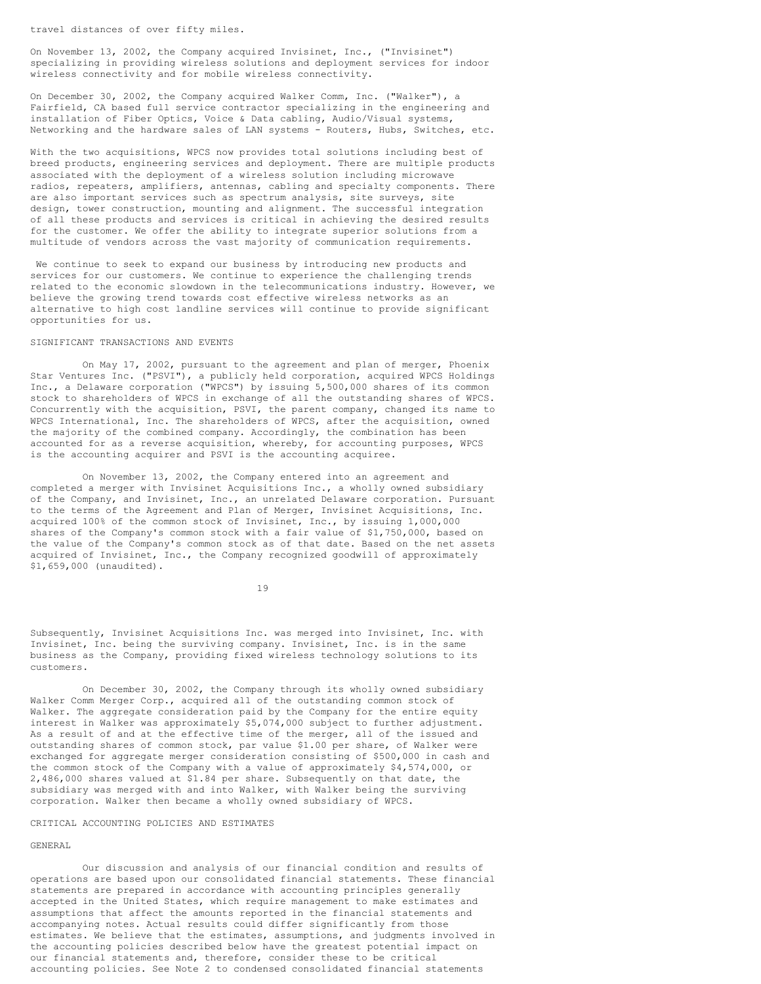travel distances of over fifty miles.

On November 13, 2002, the Company acquired Invisinet, Inc., ("Invisinet") specializing in providing wireless solutions and deployment services for indoor wireless connectivity and for mobile wireless connectivity.

On December 30, 2002, the Company acquired Walker Comm, Inc. ("Walker"), a Fairfield, CA based full service contractor specializing in the engineering and installation of Fiber Optics, Voice & Data cabling, Audio/Visual systems, Networking and the hardware sales of LAN systems - Routers, Hubs, Switches, etc.

With the two acquisitions, WPCS now provides total solutions including best of breed products, engineering services and deployment. There are multiple products associated with the deployment of a wireless solution including microwave radios, repeaters, amplifiers, antennas, cabling and specialty components. There are also important services such as spectrum analysis, site surveys, site design, tower construction, mounting and alignment. The successful integration of all these products and services is critical in achieving the desired results for the customer. We offer the ability to integrate superior solutions from a multitude of vendors across the vast majority of communication requirements.

We continue to seek to expand our business by introducing new products and services for our customers. We continue to experience the challenging trends related to the economic slowdown in the telecommunications industry. However, we believe the growing trend towards cost effective wireless networks as an alternative to high cost landline services will continue to provide significant opportunities for us.

# SIGNIFICANT TRANSACTIONS AND EVENTS

On May 17, 2002, pursuant to the agreement and plan of merger, Phoenix Star Ventures Inc. ("PSVI"), a publicly held corporation, acquired WPCS Holdings Inc., a Delaware corporation ("WPCS") by issuing 5,500,000 shares of its common stock to shareholders of WPCS in exchange of all the outstanding shares of WPCS. Concurrently with the acquisition, PSVI, the parent company, changed its name to WPCS International, Inc. The shareholders of WPCS, after the acquisition, owned the majority of the combined company. Accordingly, the combination has been accounted for as a reverse acquisition, whereby, for accounting purposes, WPCS is the accounting acquirer and PSVI is the accounting acquiree.

On November 13, 2002, the Company entered into an agreement and completed a merger with Invisinet Acquisitions Inc., a wholly owned subsidiary of the Company, and Invisinet, Inc., an unrelated Delaware corporation. Pursuant to the terms of the Agreement and Plan of Merger, Invisinet Acquisitions, Inc. acquired 100% of the common stock of Invisinet, Inc., by issuing 1,000,000 shares of the Company's common stock with a fair value of \$1,750,000, based on the value of the Company's common stock as of that date. Based on the net assets acquired of Invisinet, Inc., the Company recognized goodwill of approximately \$1,659,000 (unaudited).

19

Subsequently, Invisinet Acquisitions Inc. was merged into Invisinet, Inc. with Invisinet, Inc. being the surviving company. Invisinet, Inc. is in the same business as the Company, providing fixed wireless technology solutions to its customers.

On December 30, 2002, the Company through its wholly owned subsidiary Walker Comm Merger Corp., acquired all of the outstanding common stock of Walker. The aggregate consideration paid by the Company for the entire equity interest in Walker was approximately \$5,074,000 subject to further adjustment. As a result of and at the effective time of the merger, all of the issued and outstanding shares of common stock, par value \$1.00 per share, of Walker were exchanged for aggregate merger consideration consisting of \$500,000 in cash and the common stock of the Company with a value of approximately \$4,574,000, or 2,486,000 shares valued at \$1.84 per share. Subsequently on that date, the subsidiary was merged with and into Walker, with Walker being the surviving corporation. Walker then became a wholly owned subsidiary of WPCS.

# CRITICAL ACCOUNTING POLICIES AND ESTIMATES

# GENERAL

Our discussion and analysis of our financial condition and results of operations are based upon our consolidated financial statements. These financial statements are prepared in accordance with accounting principles generally accepted in the United States, which require management to make estimates and assumptions that affect the amounts reported in the financial statements and accompanying notes. Actual results could differ significantly from those estimates. We believe that the estimates, assumptions, and judgments involved in the accounting policies described below have the greatest potential impact on our financial statements and, therefore, consider these to be critical accounting policies. See Note 2 to condensed consolidated financial statements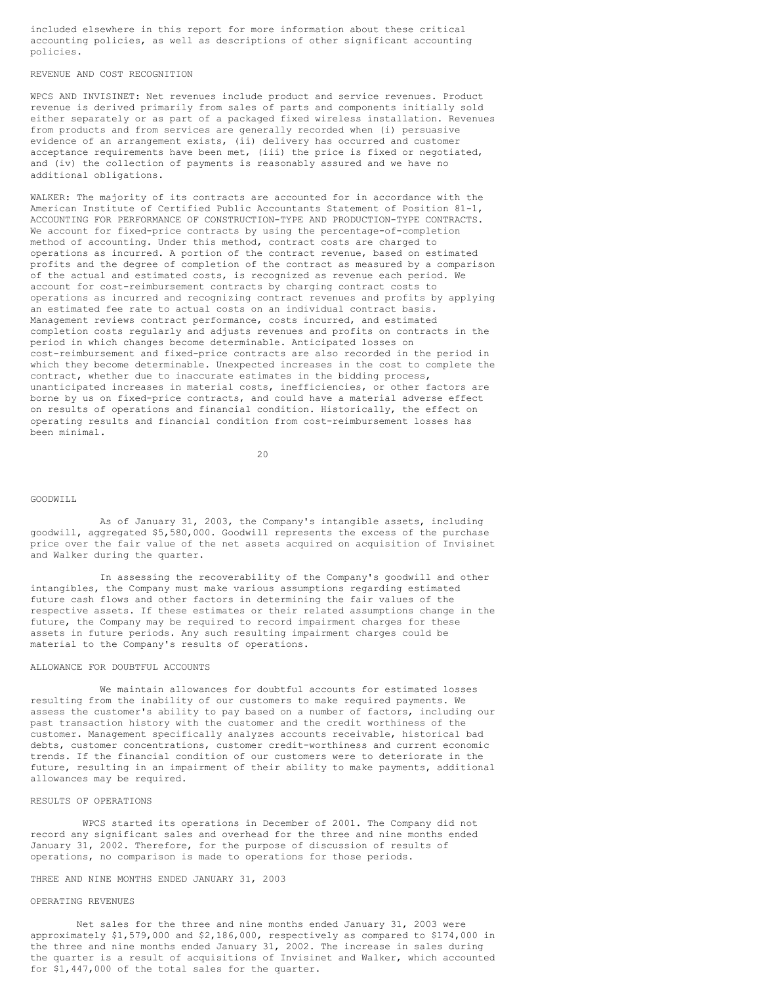included elsewhere in this report for more information about these critical accounting policies, as well as descriptions of other significant accounting policies.

# REVENUE AND COST RECOGNITION

WPCS AND INVISINET: Net revenues include product and service revenues. Product revenue is derived primarily from sales of parts and components initially sold either separately or as part of a packaged fixed wireless installation. Revenues from products and from services are generally recorded when (i) persuasive evidence of an arrangement exists, (ii) delivery has occurred and customer acceptance requirements have been met, (iii) the price is fixed or negotiated, and (iv) the collection of payments is reasonably assured and we have no additional obligations.

WALKER: The majority of its contracts are accounted for in accordance with the American Institute of Certified Public Accountants Statement of Position 81-1, ACCOUNTING FOR PERFORMANCE OF CONSTRUCTION-TYPE AND PRODUCTION-TYPE CONTRACTS. We account for fixed-price contracts by using the percentage-of-completion method of accounting. Under this method, contract costs are charged to operations as incurred. A portion of the contract revenue, based on estimated profits and the degree of completion of the contract as measured by a comparison of the actual and estimated costs, is recognized as revenue each period. We account for cost-reimbursement contracts by charging contract costs to operations as incurred and recognizing contract revenues and profits by applying an estimated fee rate to actual costs on an individual contract basis. Management reviews contract performance, costs incurred, and estimated completion costs regularly and adjusts revenues and profits on contracts in the period in which changes become determinable. Anticipated losses on cost-reimbursement and fixed-price contracts are also recorded in the period in which they become determinable. Unexpected increases in the cost to complete the contract, whether due to inaccurate estimates in the bidding process, unanticipated increases in material costs, inefficiencies, or other factors are borne by us on fixed-price contracts, and could have a material adverse effect on results of operations and financial condition. Historically, the effect on operating results and financial condition from cost-reimbursement losses has been minimal.

 $20$ 

#### GOODWILL

As of January 31, 2003, the Company's intangible assets, including goodwill, aggregated \$5,580,000. Goodwill represents the excess of the purchase price over the fair value of the net assets acquired on acquisition of Invisinet and Walker during the quarter.

In assessing the recoverability of the Company's goodwill and other intangibles, the Company must make various assumptions regarding estimated future cash flows and other factors in determining the fair values of the respective assets. If these estimates or their related assumptions change in the future, the Company may be required to record impairment charges for these assets in future periods. Any such resulting impairment charges could be material to the Company's results of operations.

# ALLOWANCE FOR DOUBTFUL ACCOUNTS

We maintain allowances for doubtful accounts for estimated losses resulting from the inability of our customers to make required payments. We assess the customer's ability to pay based on a number of factors, including our past transaction history with the customer and the credit worthiness of the customer. Management specifically analyzes accounts receivable, historical bad debts, customer concentrations, customer credit-worthiness and current economic trends. If the financial condition of our customers were to deteriorate in the future, resulting in an impairment of their ability to make payments, additional allowances may be required.

# RESULTS OF OPERATIONS

WPCS started its operations in December of 2001. The Company did not record any significant sales and overhead for the three and nine months ended January 31, 2002. Therefore, for the purpose of discussion of results of operations, no comparison is made to operations for those periods.

## THREE AND NINE MONTHS ENDED JANUARY 31, 2003

# OPERATING REVENUES

Net sales for the three and nine months ended January 31, 2003 were approximately \$1,579,000 and \$2,186,000, respectively as compared to \$174,000 in the three and nine months ended January 31, 2002. The increase in sales during the quarter is a result of acquisitions of Invisinet and Walker, which accounted for \$1,447,000 of the total sales for the quarter.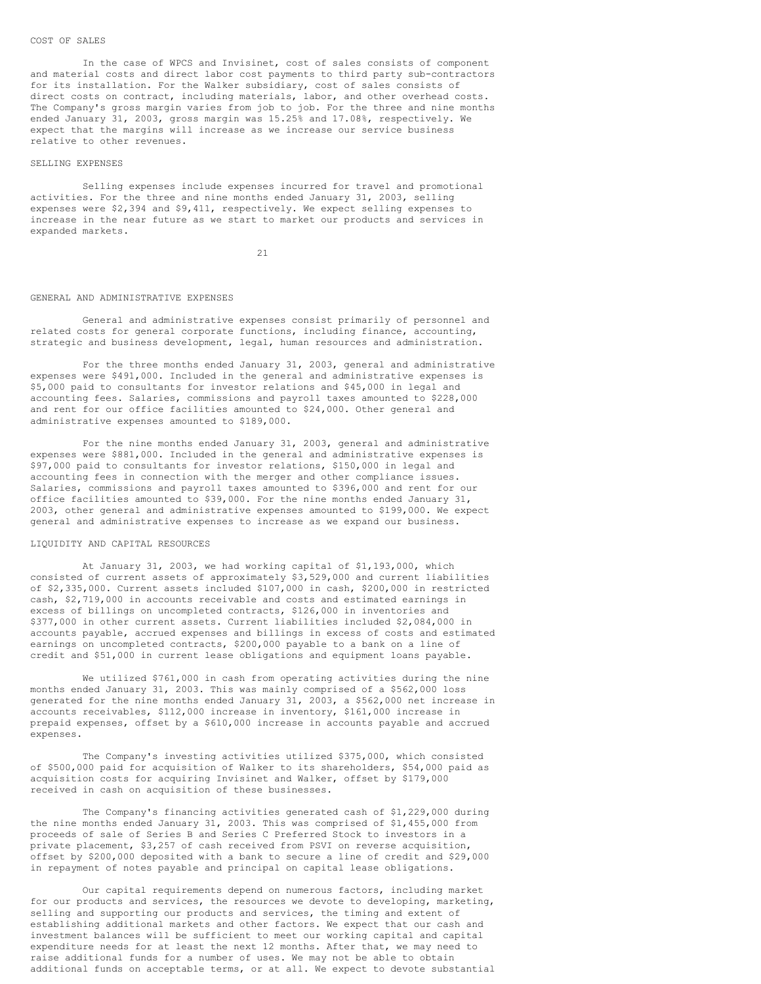In the case of WPCS and Invisinet, cost of sales consists of component and material costs and direct labor cost payments to third party sub-contractors for its installation. For the Walker subsidiary, cost of sales consists of direct costs on contract, including materials, labor, and other overhead costs. The Company's gross margin varies from job to job. For the three and nine months ended January 31, 2003, gross margin was 15.25% and 17.08%, respectively. We expect that the margins will increase as we increase our service business relative to other revenues.

# SELLING EXPENSES

Selling expenses include expenses incurred for travel and promotional activities. For the three and nine months ended January 31, 2003, selling expenses were \$2,394 and \$9,411, respectively. We expect selling expenses to increase in the near future as we start to market our products and services in expanded markets.

21

### GENERAL AND ADMINISTRATIVE EXPENSES

General and administrative expenses consist primarily of personnel and related costs for general corporate functions, including finance, accounting, strategic and business development, legal, human resources and administration.

For the three months ended January 31, 2003, general and administrative expenses were \$491,000. Included in the general and administrative expenses is \$5,000 paid to consultants for investor relations and \$45,000 in legal and accounting fees. Salaries, commissions and payroll taxes amounted to \$228,000 and rent for our office facilities amounted to \$24,000. Other general and administrative expenses amounted to \$189,000.

For the nine months ended January 31, 2003, general and administrative expenses were \$881,000. Included in the general and administrative expenses is \$97,000 paid to consultants for investor relations, \$150,000 in legal and accounting fees in connection with the merger and other compliance issues. Salaries, commissions and payroll taxes amounted to \$396,000 and rent for our office facilities amounted to \$39,000. For the nine months ended January 31, 2003, other general and administrative expenses amounted to \$199,000. We expect general and administrative expenses to increase as we expand our business.

## LIQUIDITY AND CAPITAL RESOURCES

At January 31, 2003, we had working capital of \$1,193,000, which consisted of current assets of approximately \$3,529,000 and current liabilities of \$2,335,000. Current assets included \$107,000 in cash, \$200,000 in restricted cash, \$2,719,000 in accounts receivable and costs and estimated earnings in excess of billings on uncompleted contracts, \$126,000 in inventories and \$377,000 in other current assets. Current liabilities included \$2,084,000 in accounts payable, accrued expenses and billings in excess of costs and estimated earnings on uncompleted contracts, \$200,000 payable to a bank on a line of credit and \$51,000 in current lease obligations and equipment loans payable.

We utilized \$761,000 in cash from operating activities during the nine months ended January 31, 2003. This was mainly comprised of a \$562,000 loss generated for the nine months ended January 31, 2003, a \$562,000 net increase in accounts receivables, \$112,000 increase in inventory, \$161,000 increase in prepaid expenses, offset by a \$610,000 increase in accounts payable and accrued expenses.

The Company's investing activities utilized \$375,000, which consisted of \$500,000 paid for acquisition of Walker to its shareholders, \$54,000 paid as acquisition costs for acquiring Invisinet and Walker, offset by \$179,000 received in cash on acquisition of these businesses.

The Company's financing activities generated cash of \$1,229,000 during the nine months ended January 31, 2003. This was comprised of \$1,455,000 from proceeds of sale of Series B and Series C Preferred Stock to investors in a private placement, \$3,257 of cash received from PSVI on reverse acquisition, offset by \$200,000 deposited with a bank to secure a line of credit and \$29,000 in repayment of notes payable and principal on capital lease obligations.

Our capital requirements depend on numerous factors, including market for our products and services, the resources we devote to developing, marketing, selling and supporting our products and services, the timing and extent of establishing additional markets and other factors. We expect that our cash and investment balances will be sufficient to meet our working capital and capital expenditure needs for at least the next 12 months. After that, we may need to raise additional funds for a number of uses. We may not be able to obtain additional funds on acceptable terms, or at all. We expect to devote substantial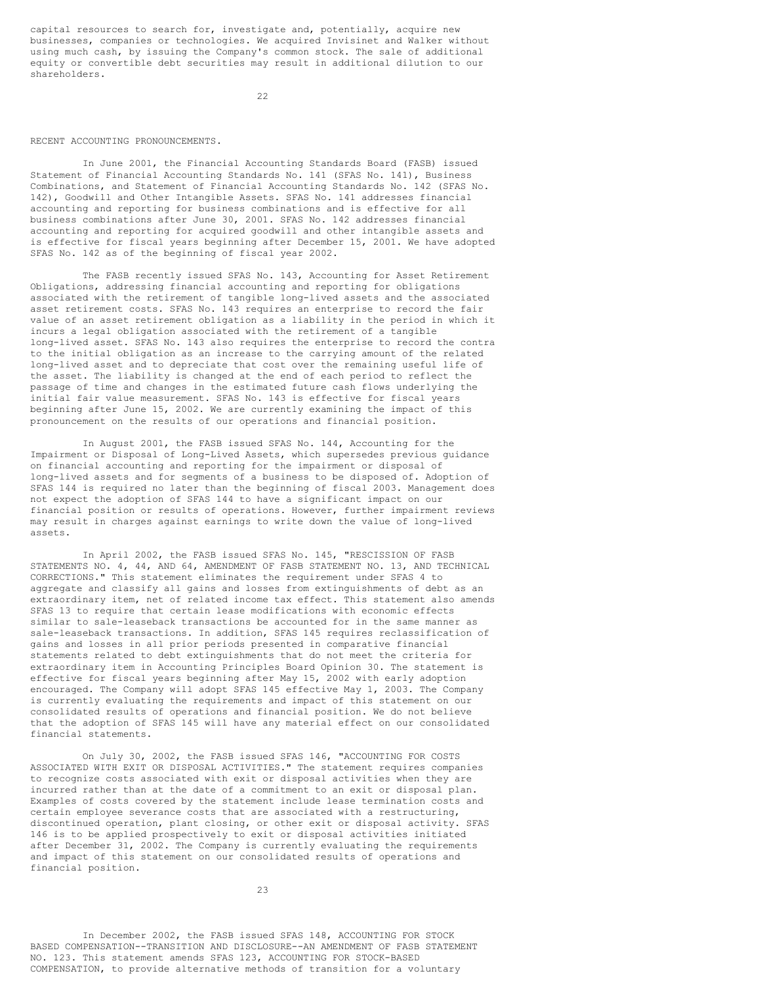capital resources to search for, investigate and, potentially, acquire new businesses, companies or technologies. We acquired Invisinet and Walker without using much cash, by issuing the Company's common stock. The sale of additional equity or convertible debt securities may result in additional dilution to our shareholders.

 $22$ 

## RECENT ACCOUNTING PRONOUNCEMENTS.

In June 2001, the Financial Accounting Standards Board (FASB) issued Statement of Financial Accounting Standards No. 141 (SFAS No. 141), Business Combinations, and Statement of Financial Accounting Standards No. 142 (SFAS No. 142), Goodwill and Other Intangible Assets. SFAS No. 141 addresses financial accounting and reporting for business combinations and is effective for all business combinations after June 30, 2001. SFAS No. 142 addresses financial accounting and reporting for acquired goodwill and other intangible assets and is effective for fiscal years beginning after December 15, 2001. We have adopted SFAS No. 142 as of the beginning of fiscal year 2002.

The FASB recently issued SFAS No. 143, Accounting for Asset Retirement Obligations, addressing financial accounting and reporting for obligations associated with the retirement of tangible long-lived assets and the associated asset retirement costs. SFAS No. 143 requires an enterprise to record the fair value of an asset retirement obligation as a liability in the period in which it incurs a legal obligation associated with the retirement of a tangible long-lived asset. SFAS No. 143 also requires the enterprise to record the contra to the initial obligation as an increase to the carrying amount of the related long-lived asset and to depreciate that cost over the remaining useful life of the asset. The liability is changed at the end of each period to reflect the passage of time and changes in the estimated future cash flows underlying the initial fair value measurement. SFAS No. 143 is effective for fiscal years beginning after June 15, 2002. We are currently examining the impact of this pronouncement on the results of our operations and financial position.

In August 2001, the FASB issued SFAS No. 144, Accounting for the Impairment or Disposal of Long-Lived Assets, which supersedes previous guidance on financial accounting and reporting for the impairment or disposal of long-lived assets and for segments of a business to be disposed of. Adoption of SFAS 144 is required no later than the beginning of fiscal 2003. Management does not expect the adoption of SFAS 144 to have a significant impact on our financial position or results of operations. However, further impairment reviews may result in charges against earnings to write down the value of long-lived assets.

In April 2002, the FASB issued SFAS No. 145, "RESCISSION OF FASB STATEMENTS NO. 4, 44, AND 64, AMENDMENT OF FASB STATEMENT NO. 13, AND TECHNICAL CORRECTIONS." This statement eliminates the requirement under SFAS 4 to aggregate and classify all gains and losses from extinguishments of debt as an extraordinary item, net of related income tax effect. This statement also amends SFAS 13 to require that certain lease modifications with economic effects similar to sale-leaseback transactions be accounted for in the same manner as sale-leaseback transactions. In addition, SFAS 145 requires reclassification of gains and losses in all prior periods presented in comparative financial statements related to debt extinguishments that do not meet the criteria for extraordinary item in Accounting Principles Board Opinion 30. The statement is effective for fiscal years beginning after May 15, 2002 with early adoption encouraged. The Company will adopt SFAS 145 effective May 1, 2003. The Company is currently evaluating the requirements and impact of this statement on our consolidated results of operations and financial position. We do not believe that the adoption of SFAS 145 will have any material effect on our consolidated financial statements.

On July 30, 2002, the FASB issued SFAS 146, "ACCOUNTING FOR COSTS ASSOCIATED WITH EXIT OR DISPOSAL ACTIVITIES." The statement requires companies to recognize costs associated with exit or disposal activities when they are incurred rather than at the date of a commitment to an exit or disposal plan. Examples of costs covered by the statement include lease termination costs and certain employee severance costs that are associated with a restructuring, discontinued operation, plant closing, or other exit or disposal activity. SFAS 146 is to be applied prospectively to exit or disposal activities initiated after December 31, 2002. The Company is currently evaluating the requirements and impact of this statement on our consolidated results of operations and financial position.

In December 2002, the FASB issued SFAS 148, ACCOUNTING FOR STOCK BASED COMPENSATION--TRANSITION AND DISCLOSURE--AN AMENDMENT OF FASB STATEMENT NO. 123. This statement amends SFAS 123, ACCOUNTING FOR STOCK-BASED COMPENSATION, to provide alternative methods of transition for a voluntary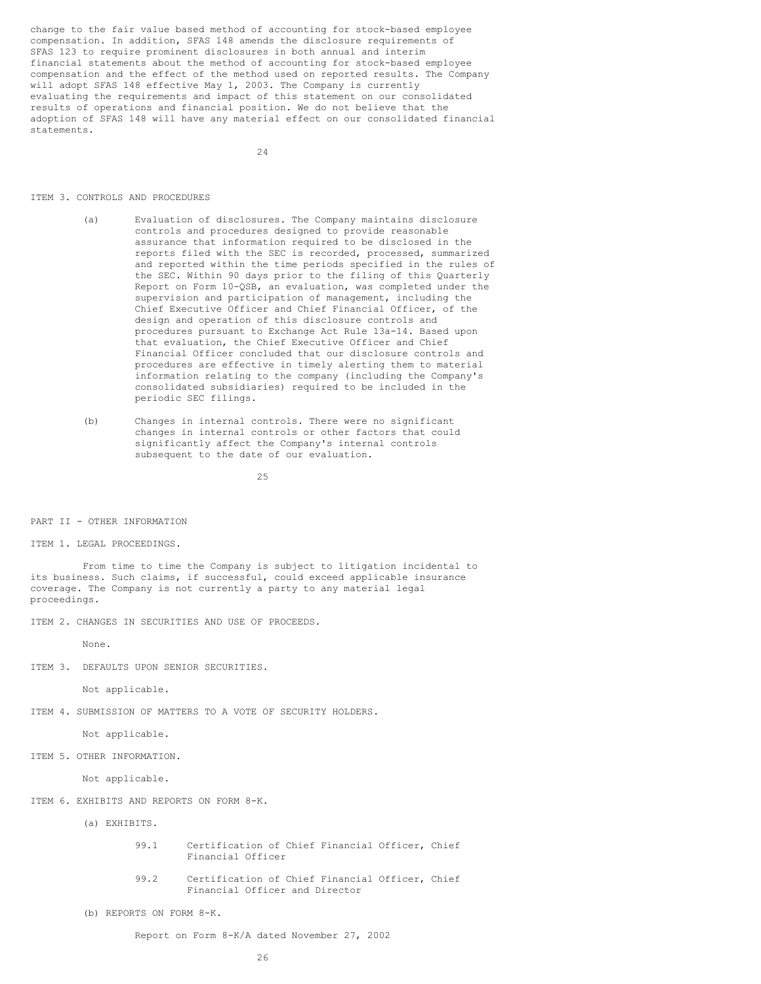change to the fair value based method of accounting for stock-based employee compensation. In addition, SFAS 148 amends the disclosure requirements of SFAS 123 to require prominent disclosures in both annual and interim financial statements about the method of accounting for stock-based employee compensation and the effect of the method used on reported results. The Company will adopt SFAS 148 effective May 1, 2003. The Company is currently evaluating the requirements and impact of this statement on our consolidated results of operations and financial position. We do not believe that the adoption of SFAS 148 will have any material effect on our consolidated financial statements.

24

# ITEM 3. CONTROLS AND PROCEDURES

- (a) Evaluation of disclosures. The Company maintains disclosure controls and procedures designed to provide reasonable assurance that information required to be disclosed in the reports filed with the SEC is recorded, processed, summarized and reported within the time periods specified in the rules of the SEC. Within 90 days prior to the filing of this Quarterly Report on Form 10-QSB, an evaluation, was completed under the supervision and participation of management, including the Chief Executive Officer and Chief Financial Officer, of the design and operation of this disclosure controls and procedures pursuant to Exchange Act Rule 13a-14. Based upon that evaluation, the Chief Executive Officer and Chief Financial Officer concluded that our disclosure controls and procedures are effective in timely alerting them to material information relating to the company (including the Company's consolidated subsidiaries) required to be included in the periodic SEC filings.
- (b) Changes in internal controls. There were no significant changes in internal controls or other factors that could significantly affect the Company's internal controls subsequent to the date of our evaluation.

 $25$ 

#### PART II - OTHER INFORMATION

#### ITEM 1. LEGAL PROCEEDINGS.

From time to time the Company is subject to litigation incidental to its business. Such claims, if successful, could exceed applicable insurance coverage. The Company is not currently a party to any material legal proceedings.

ITEM 2. CHANGES IN SECURITIES AND USE OF PROCEEDS.

None.

ITEM 3. DEFAULTS UPON SENIOR SECURITIES.

Not applicable.

ITEM 4. SUBMISSION OF MATTERS TO A VOTE OF SECURITY HOLDERS.

Not applicable.

ITEM 5. OTHER INFORMATION.

Not applicable.

- ITEM 6. EXHIBITS AND REPORTS ON FORM 8-K.
	- (a) EXHIBITS.
		- 99.1 Certification of Chief Financial Officer, Chief Financial Officer
		- 99.2 Certification of Chief Financial Officer, Chief Financial Officer and Director
	- (b) REPORTS ON FORM 8-K.

Report on Form 8-K/A dated November 27, 2002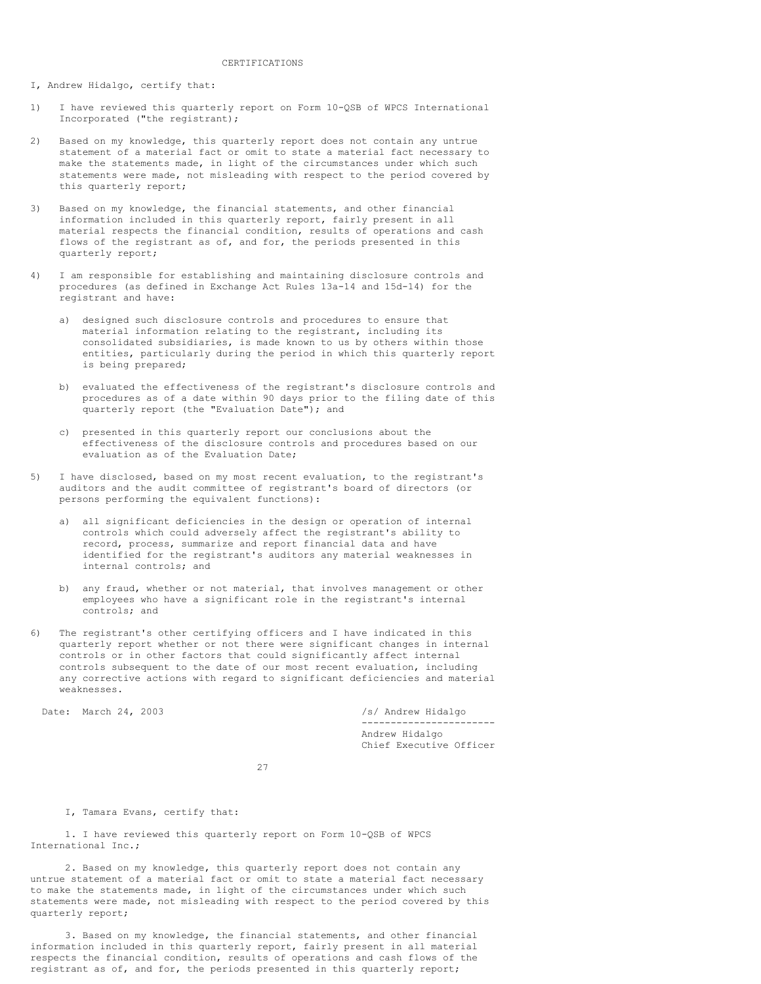## CERTIFICATIONS

I, Andrew Hidalgo, certify that:

- 1) I have reviewed this quarterly report on Form 10-QSB of WPCS International Incorporated ("the registrant);
- 2) Based on my knowledge, this quarterly report does not contain any untrue statement of a material fact or omit to state a material fact necessary to make the statements made, in light of the circumstances under which such statements were made, not misleading with respect to the period covered by this quarterly report;
- 3) Based on my knowledge, the financial statements, and other financial information included in this quarterly report, fairly present in all material respects the financial condition, results of operations and cash flows of the registrant as of, and for, the periods presented in this quarterly report;
- 4) I am responsible for establishing and maintaining disclosure controls and procedures (as defined in Exchange Act Rules 13a-14 and 15d-14) for the registrant and have:
	- a) designed such disclosure controls and procedures to ensure that material information relating to the registrant, including its consolidated subsidiaries, is made known to us by others within those entities, particularly during the period in which this quarterly report is being prepared;
	- b) evaluated the effectiveness of the registrant's disclosure controls and procedures as of a date within 90 days prior to the filing date of this quarterly report (the "Evaluation Date"); and
	- c) presented in this quarterly report our conclusions about the effectiveness of the disclosure controls and procedures based on our evaluation as of the Evaluation Date;
- 5) I have disclosed, based on my most recent evaluation, to the registrant's auditors and the audit committee of registrant's board of directors (or persons performing the equivalent functions):
	- a) all significant deficiencies in the design or operation of internal controls which could adversely affect the registrant's ability to record, process, summarize and report financial data and have identified for the registrant's auditors any material weaknesses in internal controls; and
	- b) any fraud, whether or not material, that involves management or other employees who have a significant role in the registrant's internal controls; and
- 6) The registrant's other certifying officers and I have indicated in this quarterly report whether or not there were significant changes in internal controls or in other factors that could significantly affect internal controls subsequent to the date of our most recent evaluation, including any corrective actions with regard to significant deficiencies and material weaknesses.

Date: March 24, 2003 /s/ Andrew Hidalgo ----------------------- Andrew Hidalgo Chief Executive Officer

27

I, Tamara Evans, certify that:

1. I have reviewed this quarterly report on Form 10-QSB of WPCS International Inc.;

2. Based on my knowledge, this quarterly report does not contain any untrue statement of a material fact or omit to state a material fact necessary to make the statements made, in light of the circumstances under which such statements were made, not misleading with respect to the period covered by this quarterly report;

3. Based on my knowledge, the financial statements, and other financial information included in this quarterly report, fairly present in all material respects the financial condition, results of operations and cash flows of the registrant as of, and for, the periods presented in this quarterly report;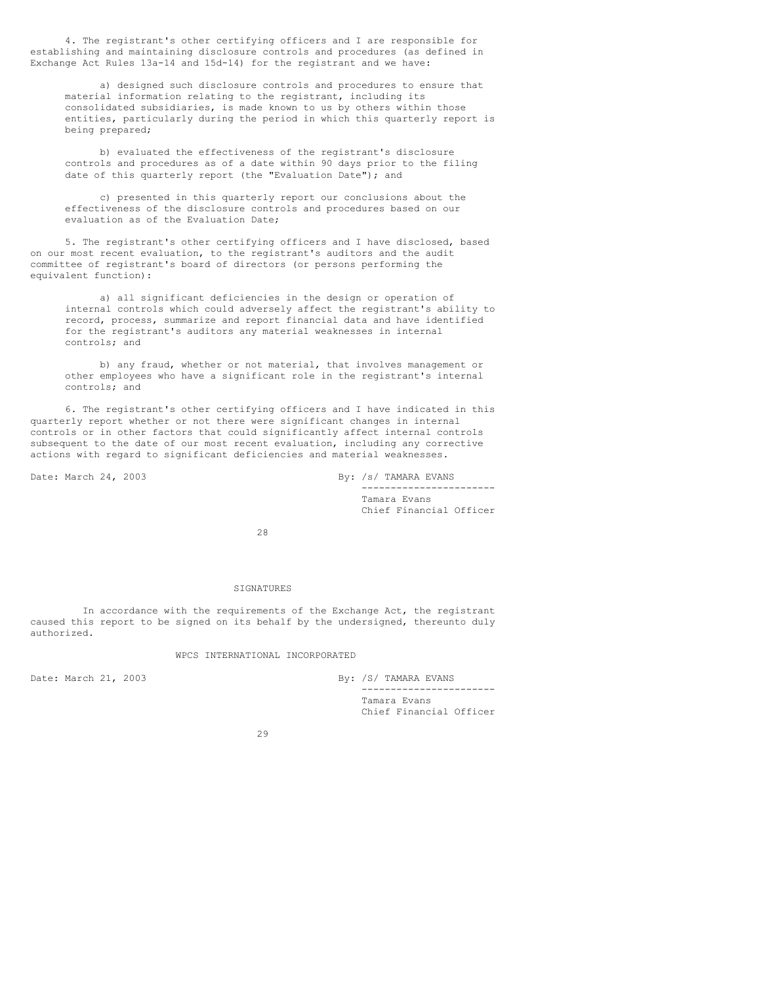4. The registrant's other certifying officers and I are responsible for establishing and maintaining disclosure controls and procedures (as defined in Exchange Act Rules 13a-14 and 15d-14) for the registrant and we have:

a) designed such disclosure controls and procedures to ensure that material information relating to the registrant, including its consolidated subsidiaries, is made known to us by others within those entities, particularly during the period in which this quarterly report is being prepared;

b) evaluated the effectiveness of the registrant's disclosure controls and procedures as of a date within 90 days prior to the filing date of this quarterly report (the "Evaluation Date"); and

c) presented in this quarterly report our conclusions about the effectiveness of the disclosure controls and procedures based on our evaluation as of the Evaluation Date;

5. The registrant's other certifying officers and I have disclosed, based on our most recent evaluation, to the registrant's auditors and the audit committee of registrant's board of directors (or persons performing the equivalent function):

a) all significant deficiencies in the design or operation of internal controls which could adversely affect the registrant's ability to record, process, summarize and report financial data and have identified for the registrant's auditors any material weaknesses in internal controls; and

b) any fraud, whether or not material, that involves management or other employees who have a significant role in the registrant's internal controls; and

6. The registrant's other certifying officers and I have indicated in this quarterly report whether or not there were significant changes in internal controls or in other factors that could significantly affect internal controls subsequent to the date of our most recent evaluation, including any corrective actions with regard to significant deficiencies and material weaknesses.

Date: March 24, 2003 By: /s/ TAMARA EVANS ----------------------- Tamara Evans Chief Financial Officer

28

# **SIGNATURES**

In accordance with the requirements of the Exchange Act, the registrant caused this report to be signed on its behalf by the undersigned, thereunto duly authorized.

WPCS INTERNATIONAL INCORPORATED

Date: March 21, 2003 By: /S/ TAMARA EVANS

----------------------- Tamara Evans Chief Financial Officer